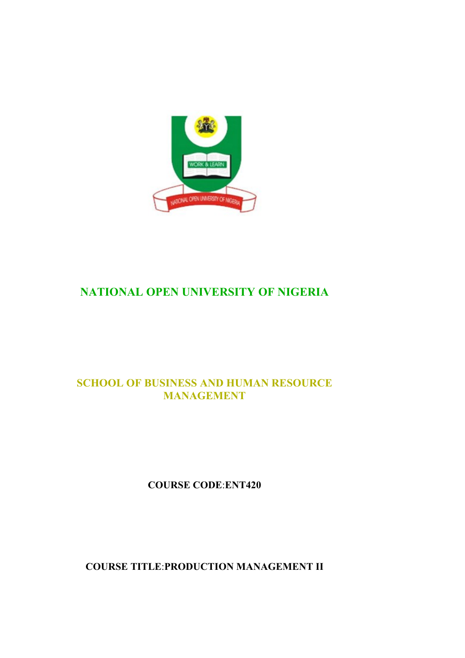

## **NATIONAL OPEN UNIVERSITY OF NIGERIA**

## **SCHOOL OF BUSINESS AND HUMAN RESOURCE MANAGEMENT**

## **COURSE CODE**:**ENT420**

**COURSE TITLE**:**PRODUCTION MANAGEMENT II**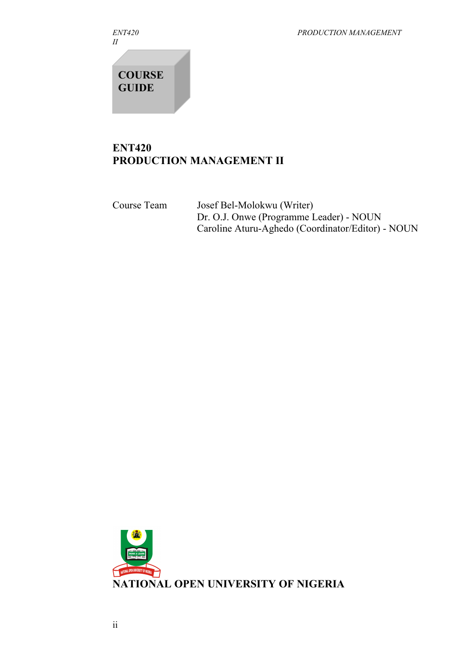*II*

*ENT420 PRODUCTION MANAGEMENT*

**COURSE GUIDE**

## **ENT420 PRODUCTION MANAGEMENT II**

Course Team Josef Bel-Molokwu (Writer) Dr. O.J. Onwe (Programme Leader) - NOUN Caroline Aturu-Aghedo (Coordinator/Editor) - NOUN

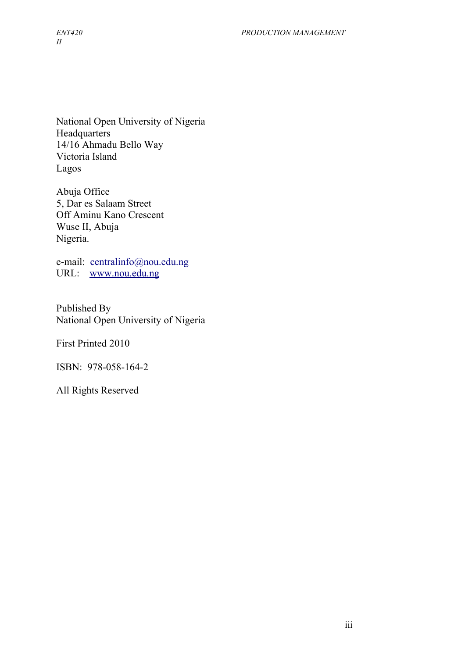National Open University of Nigeria **Headquarters** 14/16 Ahmadu Bello Way Victoria Island Lagos

Abuja Office 5, Dar es Salaam Street Off Aminu Kano Crescent Wuse II, Abuja Nigeria.

e-mail: [centralinfo@nou.edu.ng](mailto:centralinfo@nou.edu.ng) URL: [www.nou.edu.ng](http://www.nou.edu.ng/)

Published By National Open University of Nigeria

First Printed 2010

ISBN: 978-058-164-2

All Rights Reserved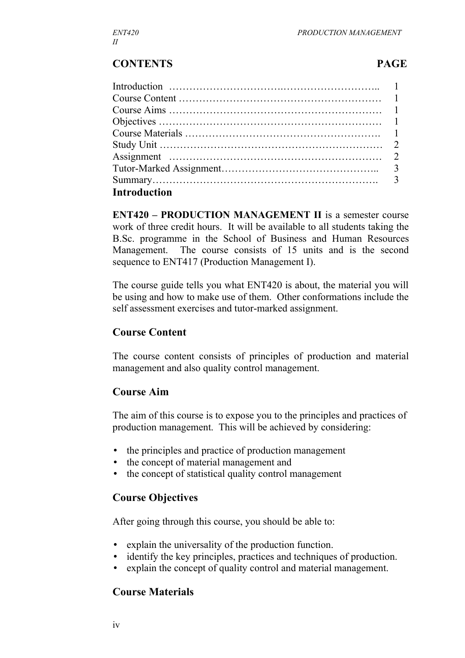#### **CONTENTS PAGE**

| <b>Introduction</b> |  |
|---------------------|--|

**ENT420 – PRODUCTION MANAGEMENT II** is a semester course work of three credit hours. It will be available to all students taking the B.Sc. programme in the School of Business and Human Resources Management. The course consists of 15 units and is the second sequence to ENT417 (Production Management I).

The course guide tells you what ENT420 is about, the material you will be using and how to make use of them. Other conformations include the self assessment exercises and tutor-marked assignment.

#### **Course Content**

The course content consists of principles of production and material management and also quality control management.

#### **Course Aim**

The aim of this course is to expose you to the principles and practices of production management. This will be achieved by considering:

- the principles and practice of production management
- the concept of material management and
- the concept of statistical quality control management

#### **Course Objectives**

After going through this course, you should be able to:

- explain the universality of the production function.
- identify the key principles, practices and techniques of production.
- explain the concept of quality control and material management.

#### **Course Materials**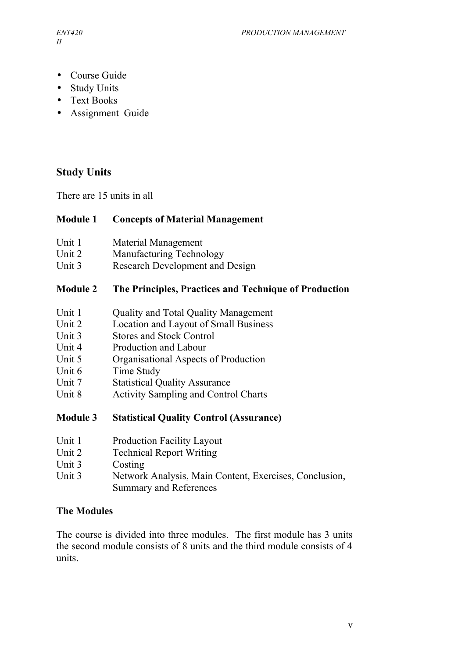- Course Guide
- Study Units
- Text Books
- Assignment Guide

## **Study Units**

There are 15 units in all

#### **Module 1 Concepts of Material Management**

- Unit 1 Material Management
- Unit 2 Manufacturing Technology
- Unit 3 Research Development and Design

#### **Module 2 The Principles, Practices and Technique of Production**

- Unit 1 Ouality and Total Quality Management
- Unit 2 Location and Layout of Small Business
- Unit 3Stores and Stock Control
- Unit 4 Production and Labour
- Unit 5 Organisational Aspects of Production
- Unit 6 Time Study
- Unit 7 Statistical Quality Assurance
- Unit 8 Activity Sampling and Control Charts

#### **Module 3 Statistical Quality Control (Assurance)**

- Unit 1 Production Facility Layout
- Unit 2 Technical Report Writing
- Unit 3 Costing
- Unit 3Network Analysis, Main Content, Exercises, Conclusion, Summary and References

#### **The Modules**

The course is divided into three modules. The first module has 3 units the second module consists of 8 units and the third module consists of 4 units.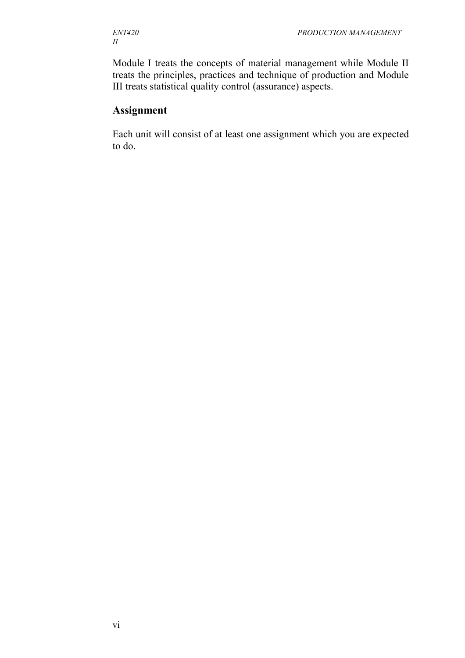# *II*

Module I treats the concepts of material management while Module II treats the principles, practices and technique of production and Module III treats statistical quality control (assurance) aspects.

## **Assignment**

Each unit will consist of at least one assignment which you are expected to do.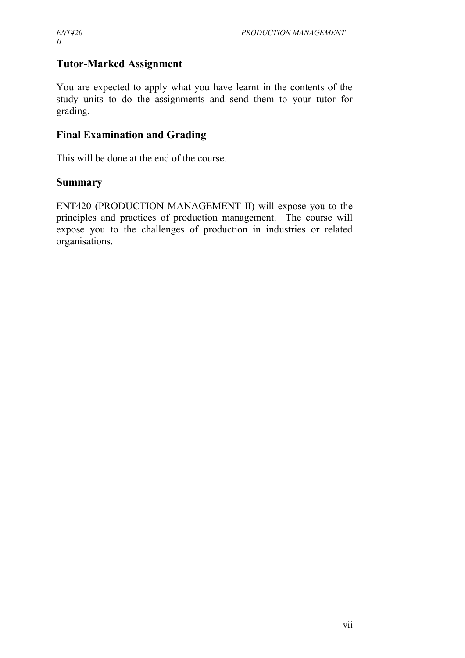## **Tutor-Marked Assignment**

You are expected to apply what you have learnt in the contents of the study units to do the assignments and send them to your tutor for grading.

#### **Final Examination and Grading**

This will be done at the end of the course.

#### **Summary**

ENT420 (PRODUCTION MANAGEMENT II) will expose you to the principles and practices of production management. The course will expose you to the challenges of production in industries or related organisations.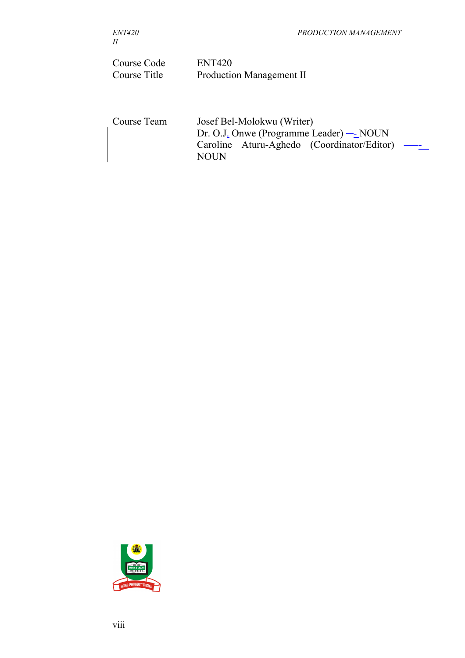| Course Code<br>Course Title | <b>ENT420</b><br><b>Production Management II</b>                                                                          |  |
|-----------------------------|---------------------------------------------------------------------------------------------------------------------------|--|
| Course Team                 | Josef Bel-Molokwu (Writer)<br>Dr. O.J. Onwe (Programme Leader) — NOUN<br>Caroline Aturu-Aghedo (Coordinator/Editor)<br>JN |  |

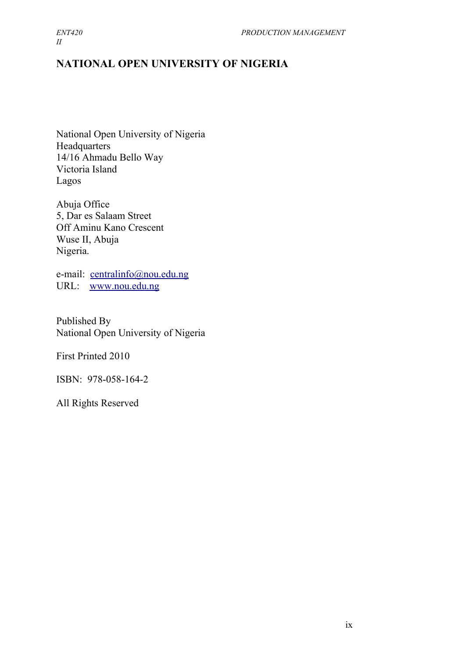*II*

## **NATIONAL OPEN UNIVERSITY OF NIGERIA**

National Open University of Nigeria Headquarters 14/16 Ahmadu Bello Way Victoria Island Lagos

Abuja Office 5, Dar es Salaam Street Off Aminu Kano Crescent Wuse II, Abuja Nigeria.

e-mail: [centralinfo@nou.edu.ng](mailto:centralinfo@nou.edu.ng) URL: [www.nou.edu.ng](http://www.nou.edu.ng/)

Published By National Open University of Nigeria

First Printed 2010

ISBN: 978-058-164-2

All Rights Reserved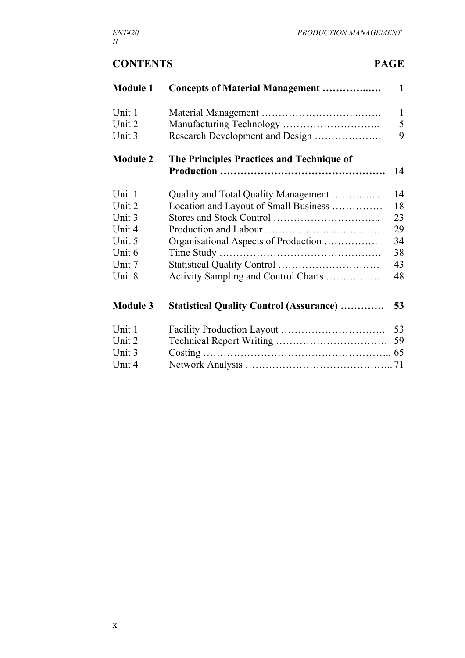## **CONTENTS PAGE**

| <b>Module 1</b> | <b>Concepts of Material Management </b>         | $\mathbf{1}$ |
|-----------------|-------------------------------------------------|--------------|
| Unit 1          |                                                 | $\mathbf{1}$ |
| Unit 2          |                                                 | 5            |
| Unit 3          | Research Development and Design                 | 9            |
| <b>Module 2</b> | The Principles Practices and Technique of       | 14           |
|                 |                                                 |              |
| Unit 1          | Quality and Total Quality Management            | 14           |
| Unit 2          | Location and Layout of Small Business           | 18           |
| Unit 3          |                                                 | 23           |
| Unit 4          |                                                 | 29           |
| Unit 5          | Organisational Aspects of Production            | 34           |
| Unit 6          |                                                 | 38           |
| Unit 7          |                                                 | 43           |
| Unit 8          | Activity Sampling and Control Charts            | 48           |
| <b>Module 3</b> | <b>Statistical Quality Control (Assurance) </b> | 53           |
| Unit 1          |                                                 | 53           |
| Unit 2          |                                                 | 59           |
| Unit 3          |                                                 |              |
| Unit 4          |                                                 |              |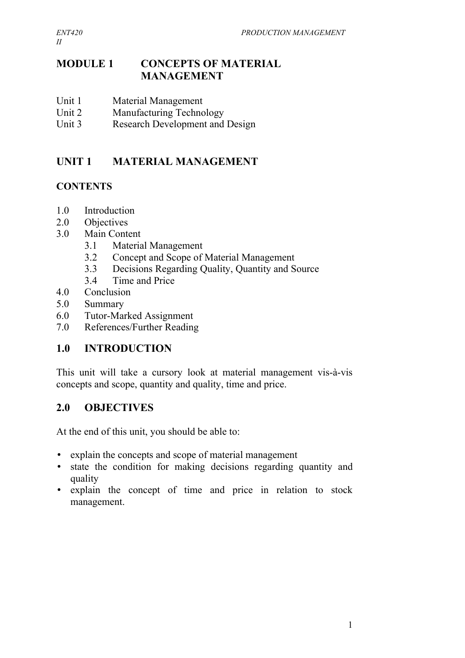## **MODULE 1 CONCEPTS OF MATERIAL MANAGEMENT**

- Unit 1 Material Management
- Unit 2 Manufacturing Technology
- Unit 3 Research Development and Design

## **UNIT 1 MATERIAL MANAGEMENT**

## **CONTENTS**

- 1.0 Introduction
- 2.0 Objectives
- 3.0 Main Content
	- 3.1 Material Management
	- 3.2 Concept and Scope of Material Management
	- 3.3 Decisions Regarding Quality, Quantity and Source
	- 3.4 Time and Price
- 4.0 Conclusion
- 5.0 Summary
- 6.0 Tutor-Marked Assignment
- 7.0 References/Further Reading

## **1.0 INTRODUCTION**

This unit will take a cursory look at material management vis-à-vis concepts and scope, quantity and quality, time and price.

## **2.0 OBJECTIVES**

At the end of this unit, you should be able to:

- explain the concepts and scope of material management
- state the condition for making decisions regarding quantity and quality
- explain the concept of time and price in relation to stock management.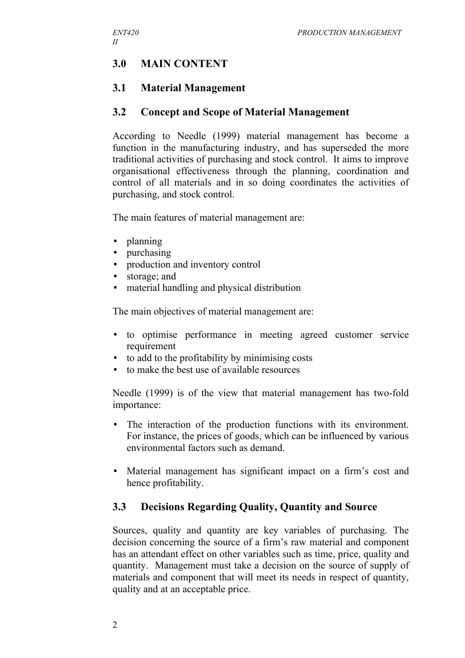## **3.0 MAIN CONTENT**

## **3.1 Material Management**

#### **3.2 Concept and Scope of Material Management**

According to Needle (1999) material management has become a function in the manufacturing industry, and has superseded the more traditional activities of purchasing and stock control. It aims to improve organisational effectiveness through the planning, coordination and control of all materials and in so doing coordinates the activities of purchasing, and stock control.

The main features of material management are:

- planning
- purchasing
- production and inventory control
- storage; and
- material handling and physical distribution

The main objectives of material management are:

- to optimise performance in meeting agreed customer service requirement
- to add to the profitability by minimising costs
- to make the best use of available resources

Needle (1999) is of the view that material management has two-fold importance:

- The interaction of the production functions with its environment. For instance, the prices of goods, which can be influenced by various environmental factors such as demand.
- Material management has significant impact on a firm's cost and hence profitability.

#### **3.3 Decisions Regarding Quality, Quantity and Source**

Sources, quality and quantity are key variables of purchasing. The decision concerning the source of a firm's raw material and component has an attendant effect on other variables such as time, price, quality and quantity. Management must take a decision on the source of supply of materials and component that will meet its needs in respect of quantity, quality and at an acceptable price.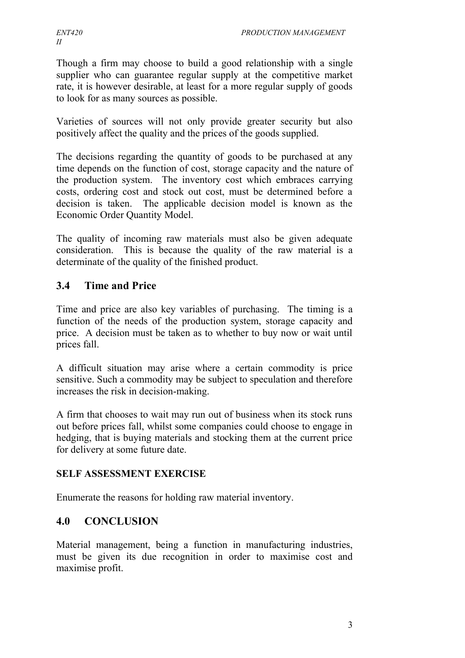Though a firm may choose to build a good relationship with a single supplier who can guarantee regular supply at the competitive market rate, it is however desirable, at least for a more regular supply of goods to look for as many sources as possible.

Varieties of sources will not only provide greater security but also positively affect the quality and the prices of the goods supplied.

The decisions regarding the quantity of goods to be purchased at any time depends on the function of cost, storage capacity and the nature of the production system. The inventory cost which embraces carrying costs, ordering cost and stock out cost, must be determined before a decision is taken. The applicable decision model is known as the Economic Order Quantity Model.

The quality of incoming raw materials must also be given adequate consideration. This is because the quality of the raw material is a determinate of the quality of the finished product.

## **3.4 Time and Price**

Time and price are also key variables of purchasing. The timing is a function of the needs of the production system, storage capacity and price. A decision must be taken as to whether to buy now or wait until prices fall.

A difficult situation may arise where a certain commodity is price sensitive. Such a commodity may be subject to speculation and therefore increases the risk in decision-making.

A firm that chooses to wait may run out of business when its stock runs out before prices fall, whilst some companies could choose to engage in hedging, that is buying materials and stocking them at the current price for delivery at some future date.

#### **SELF ASSESSMENT EXERCISE**

Enumerate the reasons for holding raw material inventory.

## **4.0 CONCLUSION**

Material management, being a function in manufacturing industries, must be given its due recognition in order to maximise cost and maximise profit.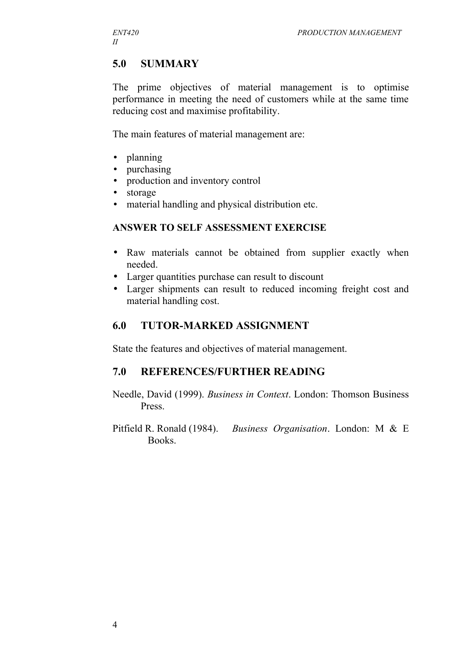## **5.0 SUMMARY**

The prime objectives of material management is to optimise performance in meeting the need of customers while at the same time reducing cost and maximise profitability.

The main features of material management are:

- planning
- purchasing
- production and inventory control
- storage
- material handling and physical distribution etc.

#### **ANSWER TO SELF ASSESSMENT EXERCISE**

- Raw materials cannot be obtained from supplier exactly when needed.
- Larger quantities purchase can result to discount
- Larger shipments can result to reduced incoming freight cost and material handling cost.

## **6.0 TUTOR-MARKED ASSIGNMENT**

State the features and objectives of material management.

#### **7.0 REFERENCES/FURTHER READING**

- Needle, David (1999). *Business in Context*. London: Thomson Business Press.
- Pitfield R. Ronald (1984). *Business Organisation*. London: M & E Books.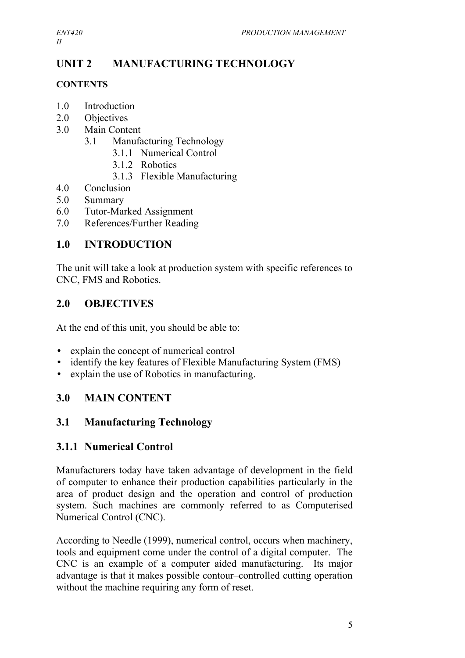## **UNIT 2 MANUFACTURING TECHNOLOGY**

## **CONTENTS**

- 1.0 Introduction
- 2.0 Objectives
- 3.0 Main Content
	- 3.1 Manufacturing Technology
		- 3.1.1 Numerical Control
		- 3.1.2 Robotics
		- 3.1.3 Flexible Manufacturing
- 4.0 Conclusion
- 5.0 Summary
- 6.0 Tutor-Marked Assignment
- 7.0 References/Further Reading

## **1.0 INTRODUCTION**

The unit will take a look at production system with specific references to CNC, FMS and Robotics.

## **2.0 OBJECTIVES**

At the end of this unit, you should be able to:

- explain the concept of numerical control
- identify the key features of Flexible Manufacturing System (FMS)
- explain the use of Robotics in manufacturing.

## **3.0 MAIN CONTENT**

## **3.1 Manufacturing Technology**

## **3.1.1 Numerical Control**

Manufacturers today have taken advantage of development in the field of computer to enhance their production capabilities particularly in the area of product design and the operation and control of production system. Such machines are commonly referred to as Computerised Numerical Control (CNC).

According to Needle (1999), numerical control, occurs when machinery, tools and equipment come under the control of a digital computer. The CNC is an example of a computer aided manufacturing. Its major advantage is that it makes possible contour–controlled cutting operation without the machine requiring any form of reset.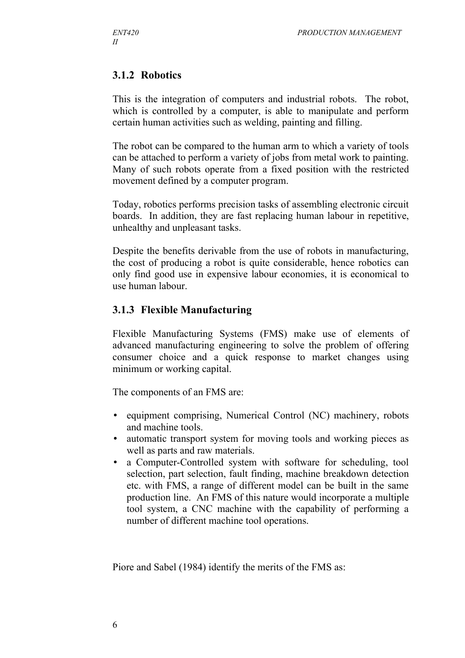## **3.1.2 Robotics**

This is the integration of computers and industrial robots. The robot, which is controlled by a computer, is able to manipulate and perform certain human activities such as welding, painting and filling.

The robot can be compared to the human arm to which a variety of tools can be attached to perform a variety of jobs from metal work to painting. Many of such robots operate from a fixed position with the restricted movement defined by a computer program.

Today, robotics performs precision tasks of assembling electronic circuit boards. In addition, they are fast replacing human labour in repetitive, unhealthy and unpleasant tasks.

Despite the benefits derivable from the use of robots in manufacturing, the cost of producing a robot is quite considerable, hence robotics can only find good use in expensive labour economies, it is economical to use human labour.

#### **3.1.3 Flexible Manufacturing**

Flexible Manufacturing Systems (FMS) make use of elements of advanced manufacturing engineering to solve the problem of offering consumer choice and a quick response to market changes using minimum or working capital.

The components of an FMS are:

- equipment comprising, Numerical Control (NC) machinery, robots and machine tools.
- automatic transport system for moving tools and working pieces as well as parts and raw materials.
- a Computer-Controlled system with software for scheduling, tool selection, part selection, fault finding, machine breakdown detection etc. with FMS, a range of different model can be built in the same production line. An FMS of this nature would incorporate a multiple tool system, a CNC machine with the capability of performing a number of different machine tool operations.

Piore and Sabel (1984) identify the merits of the FMS as: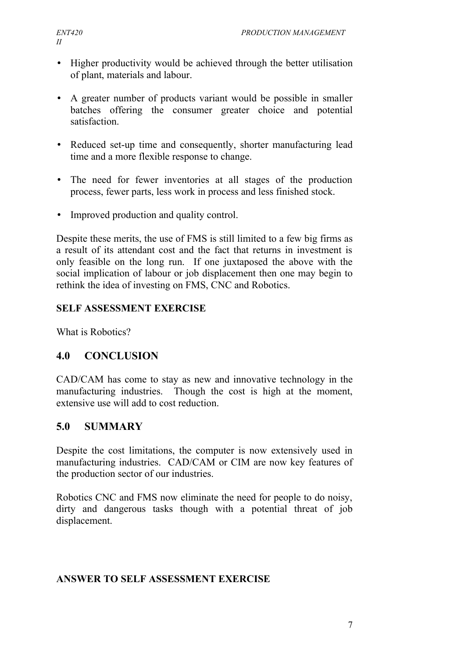- Higher productivity would be achieved through the better utilisation of plant, materials and labour.
- A greater number of products variant would be possible in smaller batches offering the consumer greater choice and potential satisfaction.
- Reduced set-up time and consequently, shorter manufacturing lead time and a more flexible response to change.
- The need for fewer inventories at all stages of the production process, fewer parts, less work in process and less finished stock.
- Improved production and quality control.

Despite these merits, the use of FMS is still limited to a few big firms as a result of its attendant cost and the fact that returns in investment is only feasible on the long run. If one juxtaposed the above with the social implication of labour or job displacement then one may begin to rethink the idea of investing on FMS, CNC and Robotics.

## **SELF ASSESSMENT EXERCISE**

What is Robotics?

## **4.0 CONCLUSION**

CAD/CAM has come to stay as new and innovative technology in the manufacturing industries. Though the cost is high at the moment, extensive use will add to cost reduction.

## **5.0 SUMMARY**

Despite the cost limitations, the computer is now extensively used in manufacturing industries. CAD/CAM or CIM are now key features of the production sector of our industries.

Robotics CNC and FMS now eliminate the need for people to do noisy, dirty and dangerous tasks though with a potential threat of job displacement.

#### **ANSWER TO SELF ASSESSMENT EXERCISE**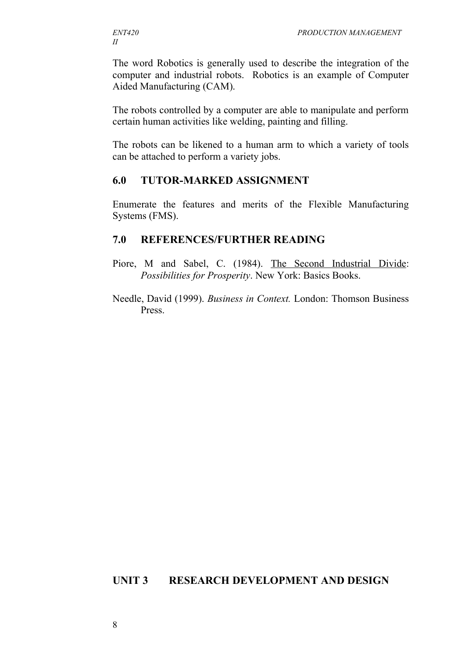The word Robotics is generally used to describe the integration of the computer and industrial robots. Robotics is an example of Computer Aided Manufacturing (CAM).

The robots controlled by a computer are able to manipulate and perform certain human activities like welding, painting and filling.

The robots can be likened to a human arm to which a variety of tools can be attached to perform a variety jobs.

#### **6.0 TUTOR-MARKED ASSIGNMENT**

Enumerate the features and merits of the Flexible Manufacturing Systems (FMS).

#### **7.0 REFERENCES/FURTHER READING**

- Piore, M and Sabel, C. (1984). The Second Industrial Divide: *Possibilities for Prosperity*. New York: Basics Books.
- Needle, David (1999). *Business in Context.* London: Thomson Business Press.

#### **UNIT 3 RESEARCH DEVELOPMENT AND DESIGN**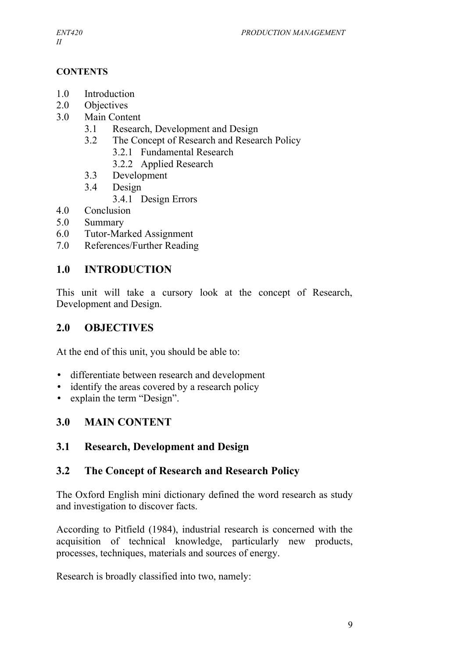#### **CONTENTS**

- 1.0 Introduction
- 2.0 Objectives
- 3.0 Main Content
	- 3.1 Research, Development and Design
	- 3.2 The Concept of Research and Research Policy
		- 3.2.1 Fundamental Research
		- 3.2.2 Applied Research
	- 3.3 Development
	- 3.4 Design
		- 3.4.1 Design Errors
- 4.0 Conclusion
- 5.0 Summary
- 6.0 Tutor-Marked Assignment
- 7.0 References/Further Reading

## **1.0 INTRODUCTION**

This unit will take a cursory look at the concept of Research, Development and Design.

## **2.0 OBJECTIVES**

At the end of this unit, you should be able to:

- differentiate between research and development
- identify the areas covered by a research policy
- explain the term "Design".

## **3.0 MAIN CONTENT**

## **3.1 Research, Development and Design**

## **3.2 The Concept of Research and Research Policy**

The Oxford English mini dictionary defined the word research as study and investigation to discover facts.

According to Pitfield (1984), industrial research is concerned with the acquisition of technical knowledge, particularly new products, processes, techniques, materials and sources of energy.

Research is broadly classified into two, namely: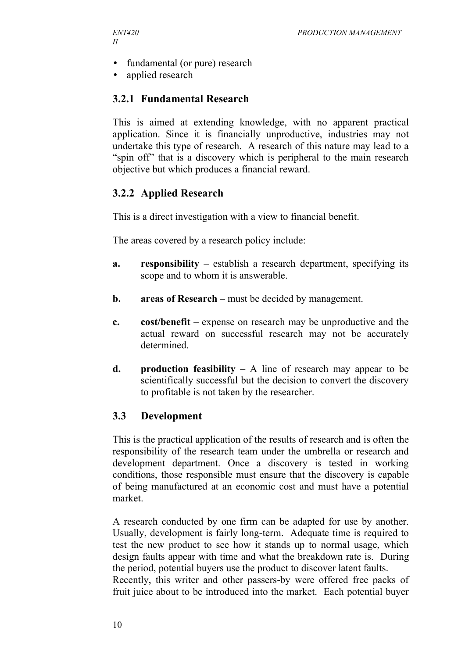- fundamental (or pure) research
- applied research

## **3.2.1 Fundamental Research**

This is aimed at extending knowledge, with no apparent practical application. Since it is financially unproductive, industries may not undertake this type of research. A research of this nature may lead to a "spin off" that is a discovery which is peripheral to the main research objective but which produces a financial reward.

## **3.2.2 Applied Research**

This is a direct investigation with a view to financial benefit.

The areas covered by a research policy include:

- **a. responsibility** establish a research department, specifying its scope and to whom it is answerable.
- **b. areas of Research** must be decided by management.
- **c. cost/benefit** expense on research may be unproductive and the actual reward on successful research may not be accurately determined.
- **d. production feasibility** A line of research may appear to be scientifically successful but the decision to convert the discovery to profitable is not taken by the researcher.

#### **3.3 Development**

This is the practical application of the results of research and is often the responsibility of the research team under the umbrella or research and development department. Once a discovery is tested in working conditions, those responsible must ensure that the discovery is capable of being manufactured at an economic cost and must have a potential market.

A research conducted by one firm can be adapted for use by another. Usually, development is fairly long-term. Adequate time is required to test the new product to see how it stands up to normal usage, which design faults appear with time and what the breakdown rate is. During the period, potential buyers use the product to discover latent faults. Recently, this writer and other passers-by were offered free packs of fruit juice about to be introduced into the market. Each potential buyer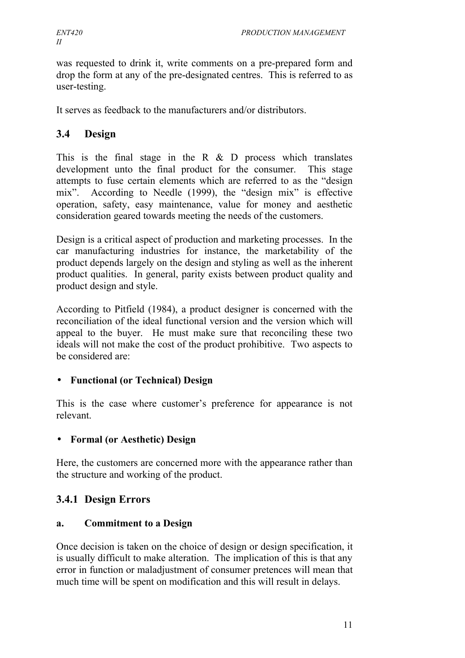was requested to drink it, write comments on a pre-prepared form and drop the form at any of the pre-designated centres. This is referred to as user-testing.

It serves as feedback to the manufacturers and/or distributors.

#### **3.4 Design**

This is the final stage in the R  $\&$  D process which translates development unto the final product for the consumer. This stage attempts to fuse certain elements which are referred to as the "design mix". According to Needle (1999), the "design mix" is effective operation, safety, easy maintenance, value for money and aesthetic consideration geared towards meeting the needs of the customers.

Design is a critical aspect of production and marketing processes. In the car manufacturing industries for instance, the marketability of the product depends largely on the design and styling as well as the inherent product qualities. In general, parity exists between product quality and product design and style.

According to Pitfield (1984), a product designer is concerned with the reconciliation of the ideal functional version and the version which will appeal to the buyer. He must make sure that reconciling these two ideals will not make the cost of the product prohibitive. Two aspects to be considered are:

#### • **Functional (or Technical) Design**

This is the case where customer's preference for appearance is not relevant.

#### • **Formal (or Aesthetic) Design**

Here, the customers are concerned more with the appearance rather than the structure and working of the product.

#### **3.4.1 Design Errors**

#### **a. Commitment to a Design**

Once decision is taken on the choice of design or design specification, it is usually difficult to make alteration. The implication of this is that any error in function or maladjustment of consumer pretences will mean that much time will be spent on modification and this will result in delays.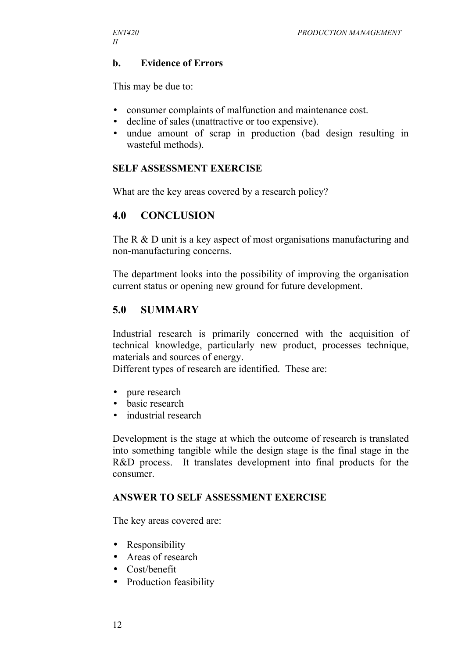#### **b. Evidence of Errors**

This may be due to:

- consumer complaints of malfunction and maintenance cost.
- decline of sales (unattractive or too expensive).
- undue amount of scrap in production (bad design resulting in wasteful methods).

#### **SELF ASSESSMENT EXERCISE**

What are the key areas covered by a research policy?

#### **4.0 CONCLUSION**

The R & D unit is a key aspect of most organisations manufacturing and non-manufacturing concerns.

The department looks into the possibility of improving the organisation current status or opening new ground for future development.

#### **5.0 SUMMARY**

Industrial research is primarily concerned with the acquisition of technical knowledge, particularly new product, processes technique, materials and sources of energy.

Different types of research are identified. These are:

- pure research
- basic research
- industrial research

Development is the stage at which the outcome of research is translated into something tangible while the design stage is the final stage in the R&D process. It translates development into final products for the consumer.

#### **ANSWER TO SELF ASSESSMENT EXERCISE**

The key areas covered are:

- Responsibility
- Areas of research
- Cost/benefit
- Production feasibility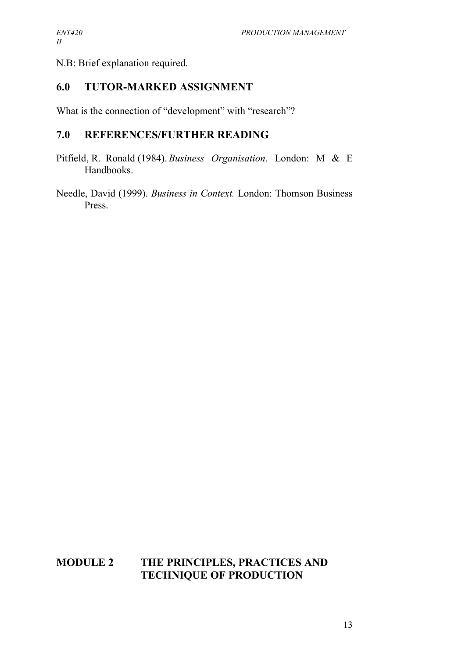N.B: Brief explanation required.

## **6.0 TUTOR-MARKED ASSIGNMENT**

What is the connection of "development" with "research"?

#### **7.0 REFERENCES/FURTHER READING**

Pitfield, R. Ronald (1984). *Business Organisation*. London: M & E Handbooks.

Needle, David (1999). *Business in Context.* London: Thomson Business Press.

#### **MODULE 2 THE PRINCIPLES, PRACTICES AND TECHNIQUE OF PRODUCTION**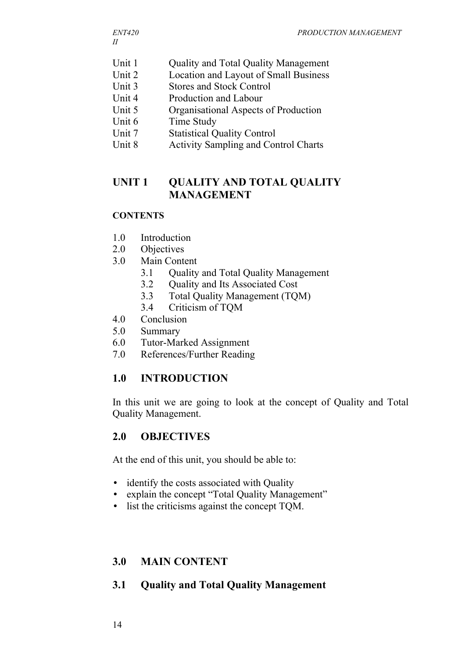- Unit 1 Quality and Total Quality Management
- Unit 2 Location and Layout of Small Business
- Unit 3 Stores and Stock Control
- Unit 4 Production and Labour
- Unit 5 Organisational Aspects of Production
- Unit 6 Time Study
- Unit 7 Statistical Quality Control
- Unit 8 Activity Sampling and Control Charts

## **UNIT 1 QUALITY AND TOTAL QUALITY MANAGEMENT**

#### **CONTENTS**

- 1.0 Introduction
- 2.0 Objectives
- 3.0 Main Content
	- 3.1 Quality and Total Quality Management
	- 3.2 Quality and Its Associated Cost
	- 3.3 Total Quality Management (TQM)
	- 3.4 Criticism of TQM
- 4.0 Conclusion
- 5.0 Summary
- 6.0 Tutor-Marked Assignment
- 7.0 References/Further Reading

#### **1.0 INTRODUCTION**

In this unit we are going to look at the concept of Quality and Total Quality Management.

#### **2.0 OBJECTIVES**

At the end of this unit, you should be able to:

- identify the costs associated with Quality
- explain the concept "Total Quality Management"
- list the criticisms against the concept TQM.

#### **3.0 MAIN CONTENT**

#### **3.1 Quality and Total Quality Management**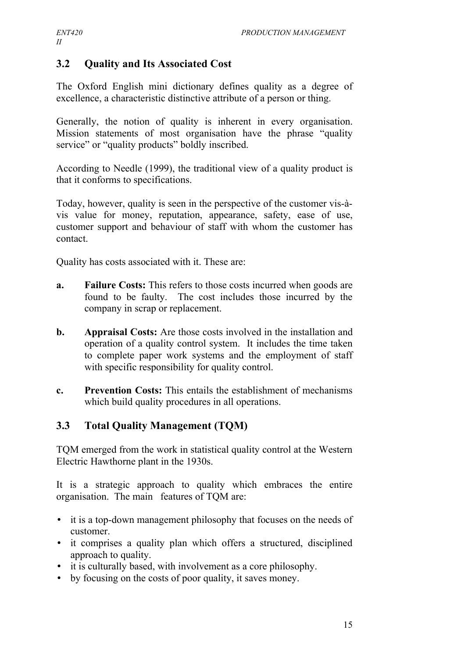## **3.2 Quality and Its Associated Cost**

The Oxford English mini dictionary defines quality as a degree of excellence, a characteristic distinctive attribute of a person or thing.

Generally, the notion of quality is inherent in every organisation. Mission statements of most organisation have the phrase "quality service" or "quality products" boldly inscribed.

According to Needle (1999), the traditional view of a quality product is that it conforms to specifications.

Today, however, quality is seen in the perspective of the customer vis-àvis value for money, reputation, appearance, safety, ease of use, customer support and behaviour of staff with whom the customer has contact.

Quality has costs associated with it. These are:

- **a. Failure Costs:** This refers to those costs incurred when goods are found to be faulty. The cost includes those incurred by the company in scrap or replacement.
- **b. Appraisal Costs:** Are those costs involved in the installation and operation of a quality control system. It includes the time taken to complete paper work systems and the employment of staff with specific responsibility for quality control.
- **c. Prevention Costs:** This entails the establishment of mechanisms which build quality procedures in all operations.

## **3.3 Total Quality Management (TQM)**

TQM emerged from the work in statistical quality control at the Western Electric Hawthorne plant in the 1930s.

It is a strategic approach to quality which embraces the entire organisation. The main features of TQM are:

- it is a top-down management philosophy that focuses on the needs of customer.
- it comprises a quality plan which offers a structured, disciplined approach to quality.
- it is culturally based, with involvement as a core philosophy.
- by focusing on the costs of poor quality, it saves money.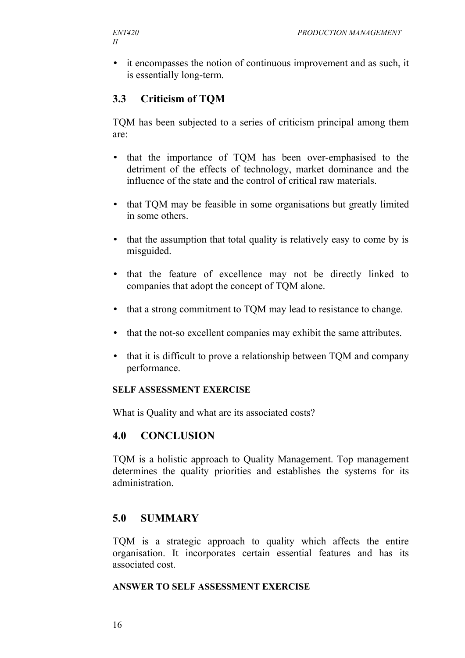• it encompasses the notion of continuous improvement and as such, it is essentially long-term.

## **3.3 Criticism of TQM**

TQM has been subjected to a series of criticism principal among them are:

- that the importance of TQM has been over-emphasised to the detriment of the effects of technology, market dominance and the influence of the state and the control of critical raw materials.
- that TQM may be feasible in some organisations but greatly limited in some others.
- that the assumption that total quality is relatively easy to come by is misguided.
- that the feature of excellence may not be directly linked to companies that adopt the concept of TQM alone.
- that a strong commitment to TQM may lead to resistance to change.
- that the not-so excellent companies may exhibit the same attributes.
- that it is difficult to prove a relationship between TQM and company performance.

#### **SELF ASSESSMENT EXERCISE**

What is Quality and what are its associated costs?

#### **4.0 CONCLUSION**

TQM is a holistic approach to Quality Management. Top management determines the quality priorities and establishes the systems for its administration.

#### **5.0 SUMMARY**

TQM is a strategic approach to quality which affects the entire organisation. It incorporates certain essential features and has its associated cost.

#### **ANSWER TO SELF ASSESSMENT EXERCISE**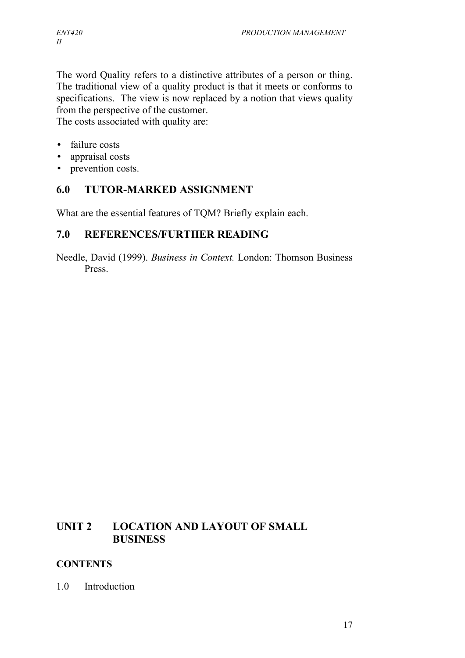The word Quality refers to a distinctive attributes of a person or thing. The traditional view of a quality product is that it meets or conforms to specifications. The view is now replaced by a notion that views quality from the perspective of the customer.

The costs associated with quality are:

- failure costs
- appraisal costs
- prevention costs.

## **6.0 TUTOR-MARKED ASSIGNMENT**

What are the essential features of TQM? Briefly explain each.

#### **7.0 REFERENCES/FURTHER READING**

Needle, David (1999). *Business in Context.* London: Thomson Business Press.

## **UNIT 2 LOCATION AND LAYOUT OF SMALL BUSINESS**

#### **CONTENTS**

#### 1.0 Introduction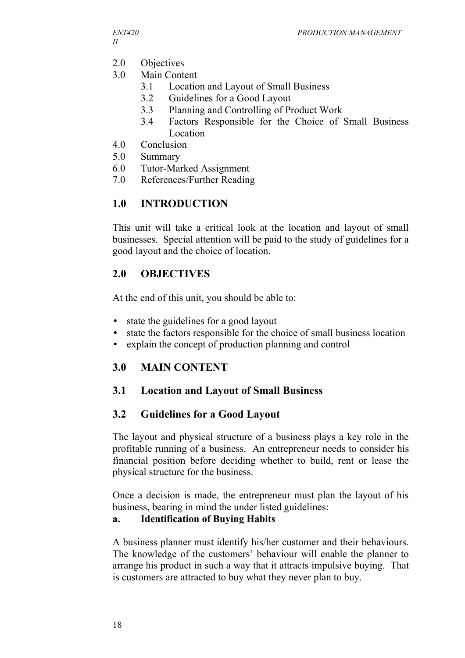- 2.0 Objectives
- 3.0 Main Content
	- 3.1 Location and Layout of Small Business
	- 3.2 Guidelines for a Good Layout
	- 3.3 Planning and Controlling of Product Work
	- 3.4 Factors Responsible for the Choice of Small Business Location
- 4.0 Conclusion
- 5.0 Summary
- 6.0 Tutor-Marked Assignment
- 7.0 References/Further Reading

## **1.0 INTRODUCTION**

This unit will take a critical look at the location and layout of small businesses. Special attention will be paid to the study of guidelines for a good layout and the choice of location.

## **2.0 OBJECTIVES**

At the end of this unit, you should be able to:

- state the guidelines for a good layout
- state the factors responsible for the choice of small business location
- explain the concept of production planning and control

## **3.0 MAIN CONTENT**

## **3.1 Location and Layout of Small Business**

#### **3.2 Guidelines for a Good Layout**

The layout and physical structure of a business plays a key role in the profitable running of a business. An entrepreneur needs to consider his financial position before deciding whether to build, rent or lease the physical structure for the business.

Once a decision is made, the entrepreneur must plan the layout of his business, bearing in mind the under listed guidelines:

#### **a. Identification of Buying Habits**

A business planner must identify his/her customer and their behaviours. The knowledge of the customers' behaviour will enable the planner to arrange his product in such a way that it attracts impulsive buying. That is customers are attracted to buy what they never plan to buy.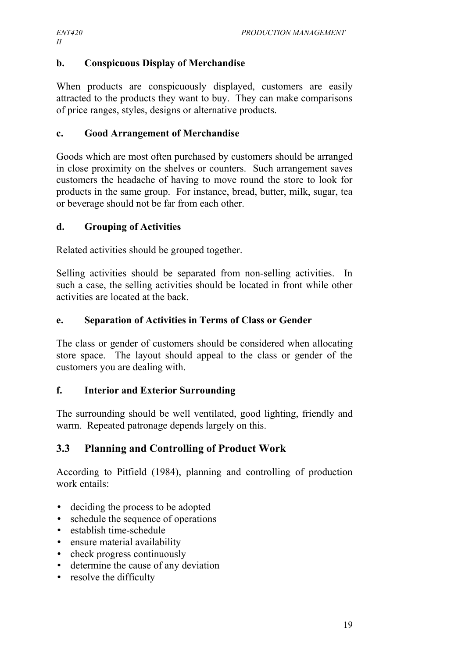## **b. Conspicuous Display of Merchandise**

When products are conspicuously displayed, customers are easily attracted to the products they want to buy. They can make comparisons of price ranges, styles, designs or alternative products.

#### **c. Good Arrangement of Merchandise**

Goods which are most often purchased by customers should be arranged in close proximity on the shelves or counters. Such arrangement saves customers the headache of having to move round the store to look for products in the same group. For instance, bread, butter, milk, sugar, tea or beverage should not be far from each other.

#### **d. Grouping of Activities**

Related activities should be grouped together.

Selling activities should be separated from non-selling activities. In such a case, the selling activities should be located in front while other activities are located at the back.

#### **e. Separation of Activities in Terms of Class or Gender**

The class or gender of customers should be considered when allocating store space. The layout should appeal to the class or gender of the customers you are dealing with.

#### **f. Interior and Exterior Surrounding**

The surrounding should be well ventilated, good lighting, friendly and warm. Repeated patronage depends largely on this.

## **3.3 Planning and Controlling of Product Work**

According to Pitfield (1984), planning and controlling of production work entails:

- deciding the process to be adopted
- schedule the sequence of operations
- establish time-schedule
- ensure material availability
- check progress continuously
- determine the cause of any deviation
- resolve the difficulty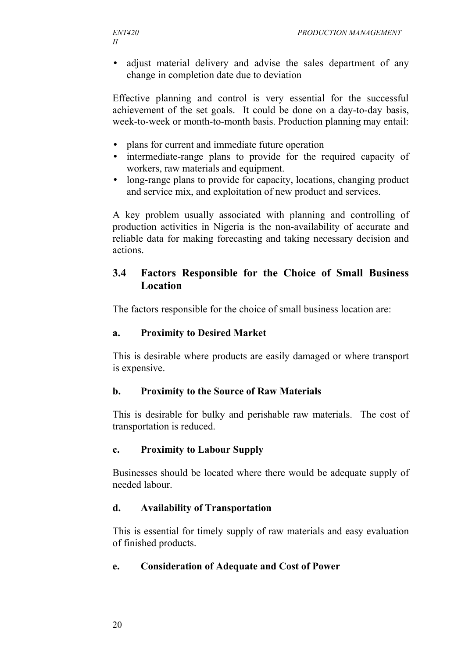• adjust material delivery and advise the sales department of any change in completion date due to deviation

Effective planning and control is very essential for the successful achievement of the set goals. It could be done on a day-to-day basis, week-to-week or month-to-month basis. Production planning may entail:

- plans for current and immediate future operation
- intermediate-range plans to provide for the required capacity of workers, raw materials and equipment.
- long-range plans to provide for capacity, locations, changing product and service mix, and exploitation of new product and services.

A key problem usually associated with planning and controlling of production activities in Nigeria is the non-availability of accurate and reliable data for making forecasting and taking necessary decision and actions.

#### **3.4 Factors Responsible for the Choice of Small Business Location**

The factors responsible for the choice of small business location are:

#### **a. Proximity to Desired Market**

This is desirable where products are easily damaged or where transport is expensive.

#### **b. Proximity to the Source of Raw Materials**

This is desirable for bulky and perishable raw materials. The cost of transportation is reduced.

#### **c. Proximity to Labour Supply**

Businesses should be located where there would be adequate supply of needed labour.

#### **d. Availability of Transportation**

This is essential for timely supply of raw materials and easy evaluation of finished products.

#### **e. Consideration of Adequate and Cost of Power**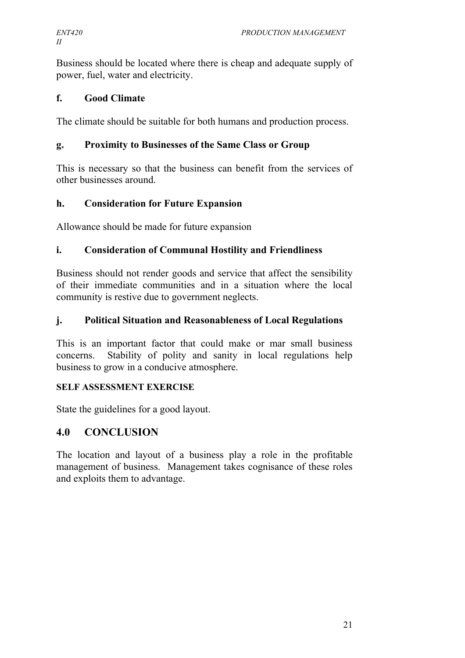Business should be located where there is cheap and adequate supply of power, fuel, water and electricity.

#### **f. Good Climate**

The climate should be suitable for both humans and production process.

#### **g. Proximity to Businesses of the Same Class or Group**

This is necessary so that the business can benefit from the services of other businesses around.

#### **h. Consideration for Future Expansion**

Allowance should be made for future expansion

#### **i. Consideration of Communal Hostility and Friendliness**

Business should not render goods and service that affect the sensibility of their immediate communities and in a situation where the local community is restive due to government neglects.

#### **j. Political Situation and Reasonableness of Local Regulations**

This is an important factor that could make or mar small business concerns. Stability of polity and sanity in local regulations help business to grow in a conducive atmosphere.

#### **SELF ASSESSMENT EXERCISE**

State the guidelines for a good layout.

#### **4.0 CONCLUSION**

The location and layout of a business play a role in the profitable management of business. Management takes cognisance of these roles and exploits them to advantage.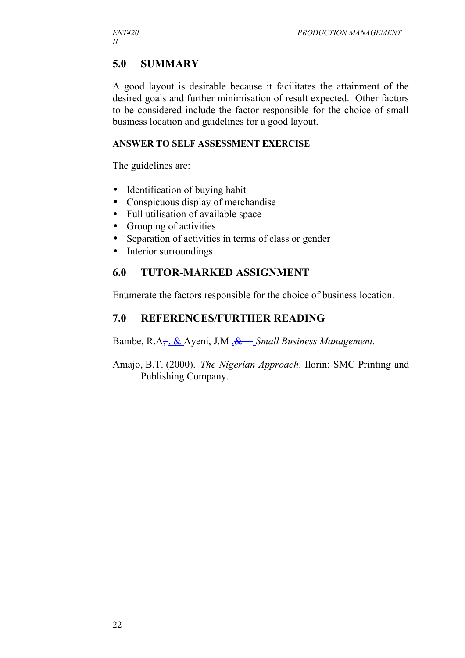## **5.0 SUMMARY**

A good layout is desirable because it facilitates the attainment of the desired goals and further minimisation of result expected. Other factors to be considered include the factor responsible for the choice of small business location and guidelines for a good layout.

#### **ANSWER TO SELF ASSESSMENT EXERCISE**

The guidelines are:

- Identification of buying habit
- Conspicuous display of merchandise
- Full utilisation of available space
- Grouping of activities
- Separation of activities in terms of class or gender
- Interior surroundings

## **6.0 TUTOR-MARKED ASSIGNMENT**

Enumerate the factors responsible for the choice of business location.

## **7.0 REFERENCES/FURTHER READING**

Bambe, R.A, . & Ayeni, J.M .& *Small Business Management.*

Amajo, B.T. (2000). *The Nigerian Approach*. Ilorin: SMC Printing and Publishing Company.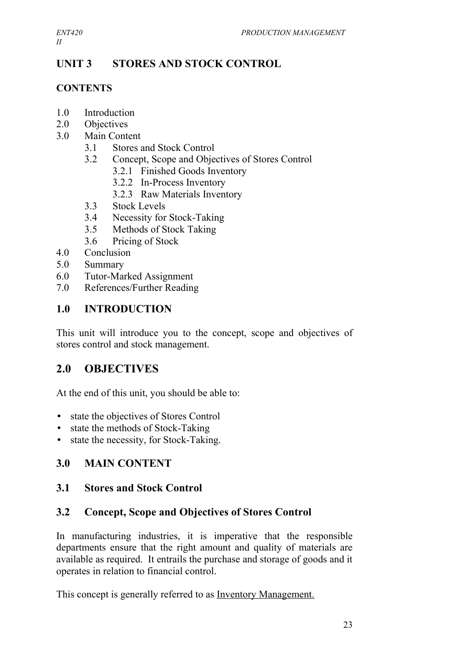*II*

## **UNIT 3 STORES AND STOCK CONTROL**

## **CONTENTS**

- 1.0 Introduction
- 2.0 Objectives
- 3.0 Main Content
	- 3.1 Stores and Stock Control
	- 3.2 Concept, Scope and Objectives of Stores Control
		- 3.2.1 Finished Goods Inventory
		- 3.2.2 In-Process Inventory
		- 3.2.3 Raw Materials Inventory
	- 3.3 Stock Levels
	- 3.4 Necessity for Stock-Taking
	- 3.5 Methods of Stock Taking
	- 3.6 Pricing of Stock
- 4.0 Conclusion
- 5.0 Summary
- 6.0 Tutor-Marked Assignment
- 7.0 References/Further Reading

## **1.0 INTRODUCTION**

This unit will introduce you to the concept, scope and objectives of stores control and stock management.

## **2.0 OBJECTIVES**

At the end of this unit, you should be able to:

- state the objectives of Stores Control
- state the methods of Stock-Taking
- state the necessity, for Stock-Taking.

## **3.0 MAIN CONTENT**

#### **3.1 Stores and Stock Control**

#### **3.2 Concept, Scope and Objectives of Stores Control**

In manufacturing industries, it is imperative that the responsible departments ensure that the right amount and quality of materials are available as required. It entrails the purchase and storage of goods and it operates in relation to financial control.

This concept is generally referred to as Inventory Management.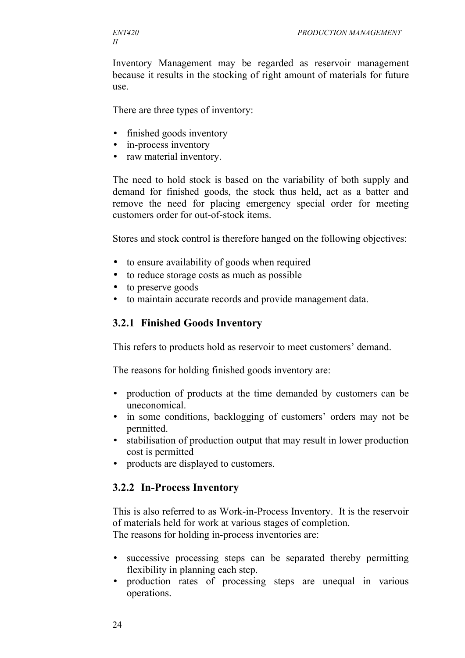Inventory Management may be regarded as reservoir management because it results in the stocking of right amount of materials for future use.

There are three types of inventory:

- finished goods inventory
- in-process inventory
- raw material inventory.

The need to hold stock is based on the variability of both supply and demand for finished goods, the stock thus held, act as a batter and remove the need for placing emergency special order for meeting customers order for out-of-stock items.

Stores and stock control is therefore hanged on the following objectives:

- to ensure availability of goods when required
- to reduce storage costs as much as possible
- to preserve goods
- to maintain accurate records and provide management data.

#### **3.2.1 Finished Goods Inventory**

This refers to products hold as reservoir to meet customers' demand.

The reasons for holding finished goods inventory are:

- production of products at the time demanded by customers can be uneconomical.
- in some conditions, backlogging of customers' orders may not be permitted.
- stabilisation of production output that may result in lower production cost is permitted
- products are displayed to customers.

#### **3.2.2 In-Process Inventory**

This is also referred to as Work-in-Process Inventory. It is the reservoir of materials held for work at various stages of completion. The reasons for holding in-process inventories are:

- successive processing steps can be separated thereby permitting flexibility in planning each step.
- production rates of processing steps are unequal in various operations.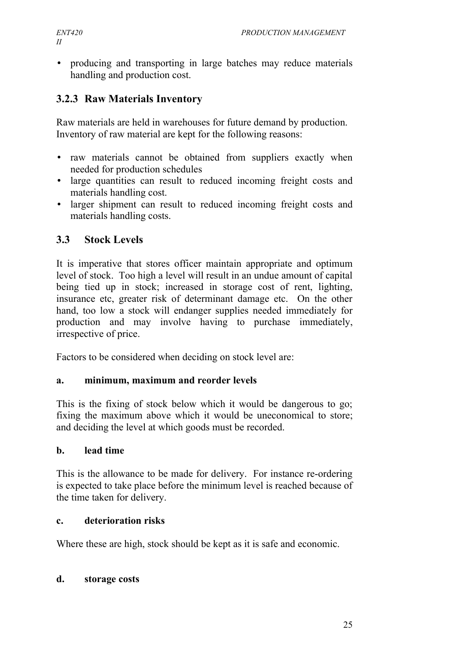• producing and transporting in large batches may reduce materials handling and production cost.

## **3.2.3 Raw Materials Inventory**

Raw materials are held in warehouses for future demand by production. Inventory of raw material are kept for the following reasons:

- raw materials cannot be obtained from suppliers exactly when needed for production schedules
- large quantities can result to reduced incoming freight costs and materials handling cost.
- larger shipment can result to reduced incoming freight costs and materials handling costs.

## **3.3 Stock Levels**

It is imperative that stores officer maintain appropriate and optimum level of stock. Too high a level will result in an undue amount of capital being tied up in stock; increased in storage cost of rent, lighting, insurance etc, greater risk of determinant damage etc. On the other hand, too low a stock will endanger supplies needed immediately for production and may involve having to purchase immediately, irrespective of price.

Factors to be considered when deciding on stock level are:

#### **a. minimum, maximum and reorder levels**

This is the fixing of stock below which it would be dangerous to go; fixing the maximum above which it would be uneconomical to store; and deciding the level at which goods must be recorded.

#### **b. lead time**

This is the allowance to be made for delivery. For instance re-ordering is expected to take place before the minimum level is reached because of the time taken for delivery.

#### **c. deterioration risks**

Where these are high, stock should be kept as it is safe and economic.

#### **d. storage costs**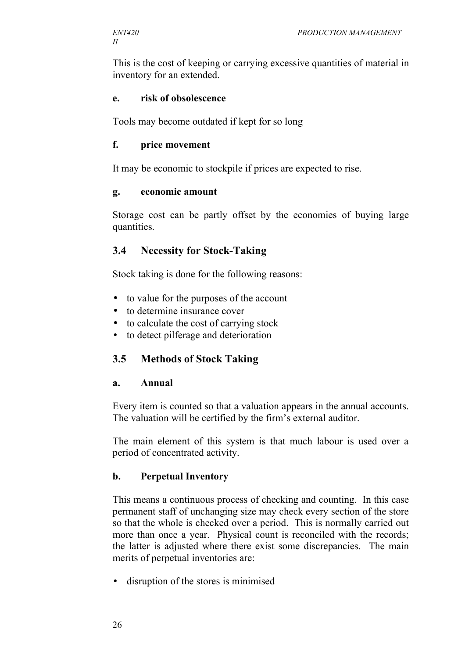This is the cost of keeping or carrying excessive quantities of material in inventory for an extended.

#### **e. risk of obsolescence**

Tools may become outdated if kept for so long

#### **f. price movement**

It may be economic to stockpile if prices are expected to rise.

#### **g. economic amount**

Storage cost can be partly offset by the economies of buying large quantities.

#### **3.4 Necessity for Stock-Taking**

Stock taking is done for the following reasons:

- to value for the purposes of the account
- to determine insurance cover
- to calculate the cost of carrying stock
- to detect pilferage and deterioration

#### **3.5 Methods of Stock Taking**

#### **a. Annual**

Every item is counted so that a valuation appears in the annual accounts. The valuation will be certified by the firm's external auditor.

The main element of this system is that much labour is used over a period of concentrated activity.

#### **b. Perpetual Inventory**

This means a continuous process of checking and counting. In this case permanent staff of unchanging size may check every section of the store so that the whole is checked over a period. This is normally carried out more than once a year. Physical count is reconciled with the records; the latter is adjusted where there exist some discrepancies. The main merits of perpetual inventories are:

• disruption of the stores is minimised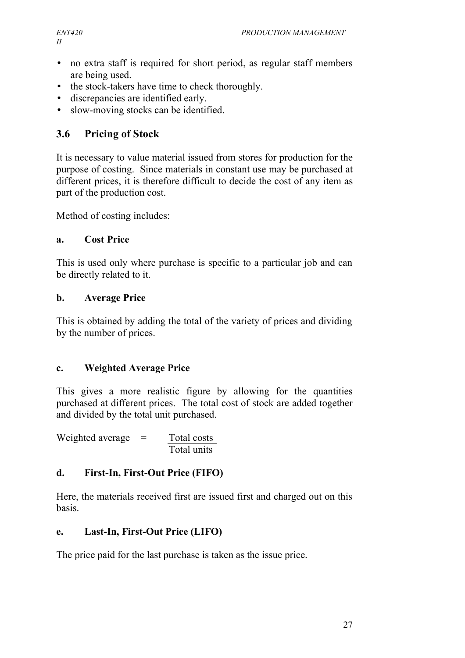- no extra staff is required for short period, as regular staff members are being used.
- the stock-takers have time to check thoroughly.
- discrepancies are identified early.
- slow-moving stocks can be identified.

# **3.6 Pricing of Stock**

It is necessary to value material issued from stores for production for the purpose of costing. Since materials in constant use may be purchased at different prices, it is therefore difficult to decide the cost of any item as part of the production cost.

Method of costing includes:

## **a. Cost Price**

This is used only where purchase is specific to a particular job and can be directly related to it.

## **b. Average Price**

This is obtained by adding the total of the variety of prices and dividing by the number of prices.

# **c. Weighted Average Price**

This gives a more realistic figure by allowing for the quantities purchased at different prices. The total cost of stock are added together and divided by the total unit purchased.

Weighted average  $=$  Total costs Total units

# **d. First-In, First-Out Price (FIFO)**

Here, the materials received first are issued first and charged out on this basis.

# **e. Last-In, First-Out Price (LIFO)**

The price paid for the last purchase is taken as the issue price.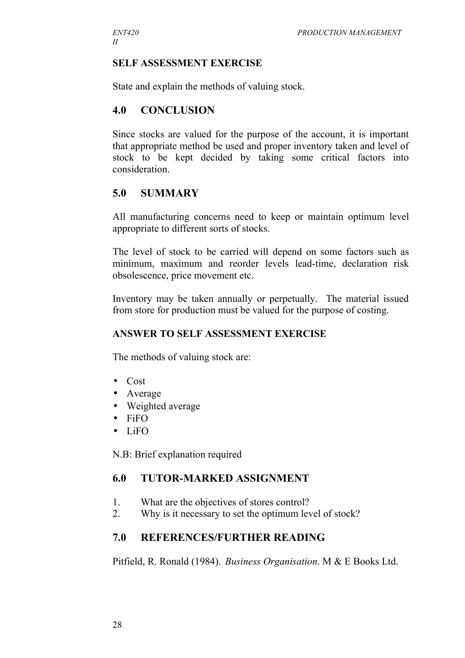#### **SELF ASSESSMENT EXERCISE**

State and explain the methods of valuing stock.

#### **4.0 CONCLUSION**

Since stocks are valued for the purpose of the account, it is important that appropriate method be used and proper inventory taken and level of stock to be kept decided by taking some critical factors into consideration.

#### **5.0 SUMMARY**

All manufacturing concerns need to keep or maintain optimum level appropriate to different sorts of stocks.

The level of stock to be carried will depend on some factors such as minimum, maximum and reorder levels lead-time, declaration risk obsolescence, price movement etc.

Inventory may be taken annually or perpetually. The material issued from store for production must be valued for the purpose of costing.

#### **ANSWER TO SELF ASSESSMENT EXERCISE**

The methods of valuing stock are:

- Cost
- Average
- Weighted average
- FiFO
- LiFO

N.B: Brief explanation required

#### **6.0 TUTOR-MARKED ASSIGNMENT**

- 1. What are the objectives of stores control?
- 2. Why is it necessary to set the optimum level of stock?

#### **7.0 REFERENCES/FURTHER READING**

Pitfield, R. Ronald (1984). *Business Organisation*. M & E Books Ltd.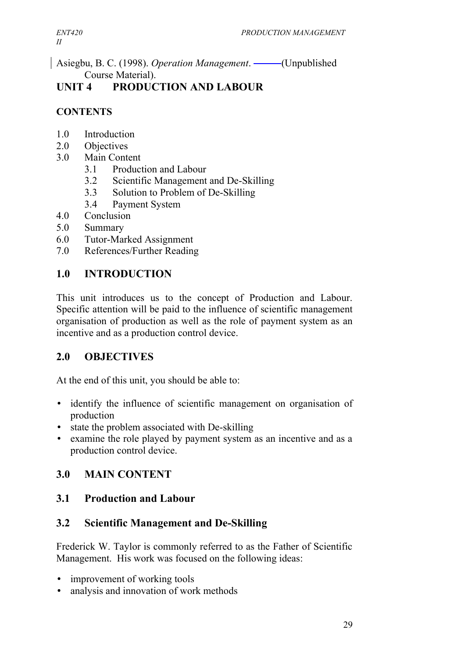Asiegbu, B. C. (1998). *Operation Management*. —— (Unpublished Course Material).

# **UNIT 4 PRODUCTION AND LABOUR**

## **CONTENTS**

- 1.0 Introduction
- 2.0 Objectives
- 3.0 Main Content
	- 3.1 Production and Labour
	- 3.2 Scientific Management and De-Skilling
	- 3.3 Solution to Problem of De-Skilling
	- 3.4 Payment System
- 4.0 Conclusion
- 5.0 Summary
- 6.0 Tutor-Marked Assignment
- 7.0 References/Further Reading

## **1.0 INTRODUCTION**

This unit introduces us to the concept of Production and Labour. Specific attention will be paid to the influence of scientific management organisation of production as well as the role of payment system as an incentive and as a production control device.

## **2.0 OBJECTIVES**

At the end of this unit, you should be able to:

- identify the influence of scientific management on organisation of production
- state the problem associated with De-skilling
- examine the role played by payment system as an incentive and as a production control device.

# **3.0 MAIN CONTENT**

## **3.1 Production and Labour**

## **3.2 Scientific Management and De-Skilling**

Frederick W. Taylor is commonly referred to as the Father of Scientific Management. His work was focused on the following ideas:

- improvement of working tools
- analysis and innovation of work methods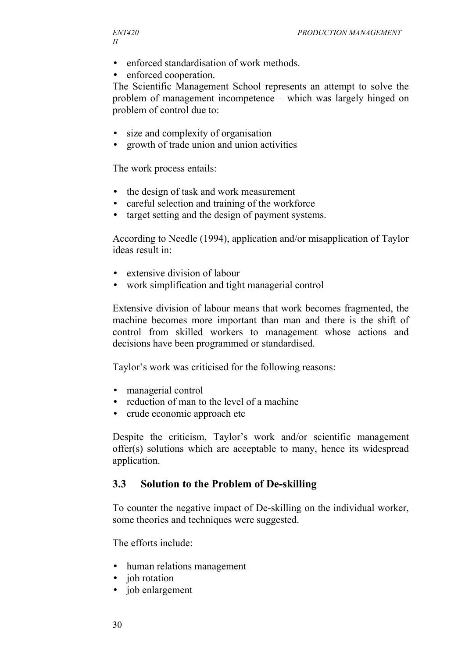- enforced standardisation of work methods.
- enforced cooperation.

The Scientific Management School represents an attempt to solve the problem of management incompetence – which was largely hinged on problem of control due to:

- size and complexity of organisation
- growth of trade union and union activities

The work process entails:

- the design of task and work measurement
- careful selection and training of the workforce
- target setting and the design of payment systems.

According to Needle (1994), application and/or misapplication of Taylor ideas result in:

- extensive division of labour
- work simplification and tight managerial control

Extensive division of labour means that work becomes fragmented, the machine becomes more important than man and there is the shift of control from skilled workers to management whose actions and decisions have been programmed or standardised.

Taylor's work was criticised for the following reasons:

- managerial control
- reduction of man to the level of a machine
- crude economic approach etc

Despite the criticism, Taylor's work and/or scientific management offer(s) solutions which are acceptable to many, hence its widespread application.

#### **3.3 Solution to the Problem of De-skilling**

To counter the negative impact of De-skilling on the individual worker, some theories and techniques were suggested.

The efforts include:

- human relations management
- job rotation
- job enlargement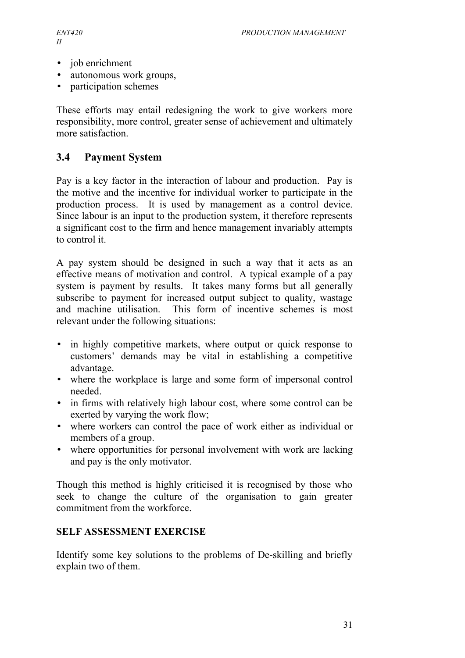- job enrichment
- autonomous work groups,
- participation schemes

These efforts may entail redesigning the work to give workers more responsibility, more control, greater sense of achievement and ultimately more satisfaction.

## **3.4 Payment System**

Pay is a key factor in the interaction of labour and production. Pay is the motive and the incentive for individual worker to participate in the production process. It is used by management as a control device. Since labour is an input to the production system, it therefore represents a significant cost to the firm and hence management invariably attempts to control it.

A pay system should be designed in such a way that it acts as an effective means of motivation and control. A typical example of a pay system is payment by results. It takes many forms but all generally subscribe to payment for increased output subject to quality, wastage and machine utilisation. This form of incentive schemes is most relevant under the following situations:

- in highly competitive markets, where output or quick response to customers' demands may be vital in establishing a competitive advantage.
- where the workplace is large and some form of impersonal control needed.
- in firms with relatively high labour cost, where some control can be exerted by varying the work flow;
- where workers can control the pace of work either as individual or members of a group.
- where opportunities for personal involvement with work are lacking and pay is the only motivator.

Though this method is highly criticised it is recognised by those who seek to change the culture of the organisation to gain greater commitment from the workforce.

## **SELF ASSESSMENT EXERCISE**

Identify some key solutions to the problems of De-skilling and briefly explain two of them.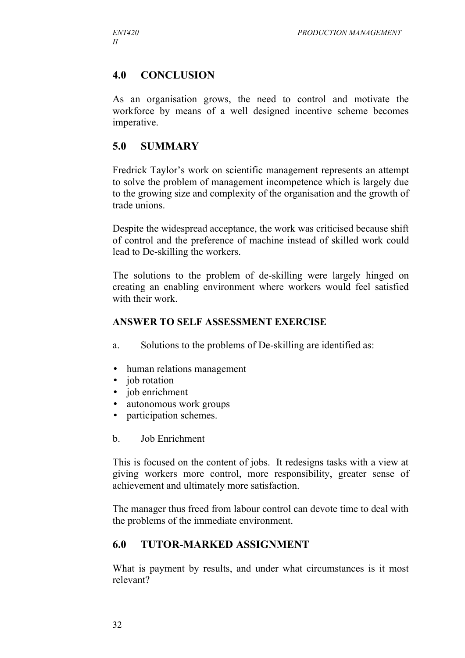## **4.0 CONCLUSION**

As an organisation grows, the need to control and motivate the workforce by means of a well designed incentive scheme becomes imperative.

## **5.0 SUMMARY**

Fredrick Taylor's work on scientific management represents an attempt to solve the problem of management incompetence which is largely due to the growing size and complexity of the organisation and the growth of trade unions.

Despite the widespread acceptance, the work was criticised because shift of control and the preference of machine instead of skilled work could lead to De-skilling the workers.

The solutions to the problem of de-skilling were largely hinged on creating an enabling environment where workers would feel satisfied with their work.

#### **ANSWER TO SELF ASSESSMENT EXERCISE**

- a. Solutions to the problems of De-skilling are identified as:
- human relations management
- iob rotation
- job enrichment
- autonomous work groups
- participation schemes.
- b. Job Enrichment

This is focused on the content of jobs. It redesigns tasks with a view at giving workers more control, more responsibility, greater sense of achievement and ultimately more satisfaction.

The manager thus freed from labour control can devote time to deal with the problems of the immediate environment.

# **6.0 TUTOR-MARKED ASSIGNMENT**

What is payment by results, and under what circumstances is it most relevant?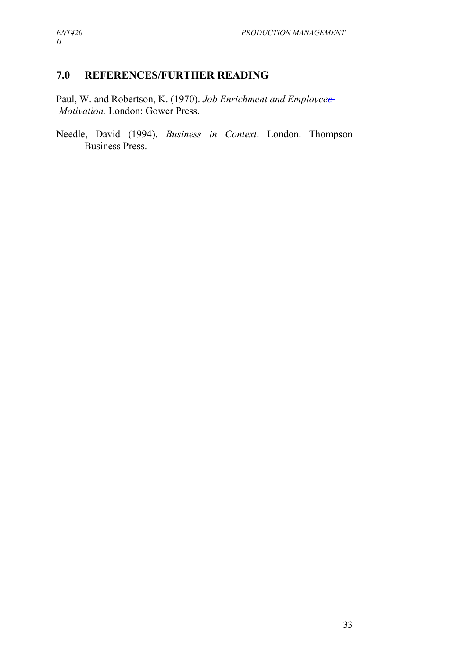# **7.0 REFERENCES/FURTHER READING**

Paul, W. and Robertson, K. (1970). *Job Enrichment and Employeee Motivation.* London: Gower Press.

Needle, David (1994). *Business in Context*. London. Thompson Business Press.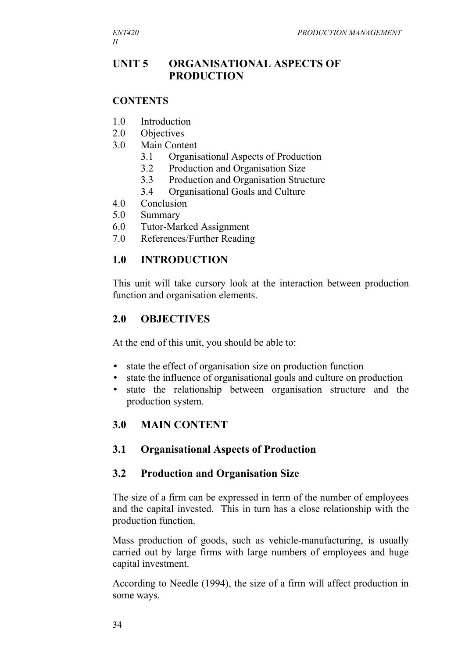## **UNIT 5 ORGANISATIONAL ASPECTS OF PRODUCTION**

#### **CONTENTS**

- 1.0 Introduction
- 2.0 Objectives
- 3.0 Main Content
	- 3.1 Organisational Aspects of Production
	- 3.2 Production and Organisation Size
	- 3.3 Production and Organisation Structure
	- 3.4 Organisational Goals and Culture
- 4.0 Conclusion
- 5.0 Summary
- 6.0 Tutor-Marked Assignment
- 7.0 References/Further Reading

#### **1.0 INTRODUCTION**

This unit will take cursory look at the interaction between production function and organisation elements.

#### **2.0 OBJECTIVES**

At the end of this unit, you should be able to:

- state the effect of organisation size on production function
- state the influence of organisational goals and culture on production
- state the relationship between organisation structure and the production system.

#### **3.0 MAIN CONTENT**

#### **3.1 Organisational Aspects of Production**

#### **3.2 Production and Organisation Size**

The size of a firm can be expressed in term of the number of employees and the capital invested. This in turn has a close relationship with the production function.

Mass production of goods, such as vehicle-manufacturing, is usually carried out by large firms with large numbers of employees and huge capital investment.

According to Needle (1994), the size of a firm will affect production in some ways.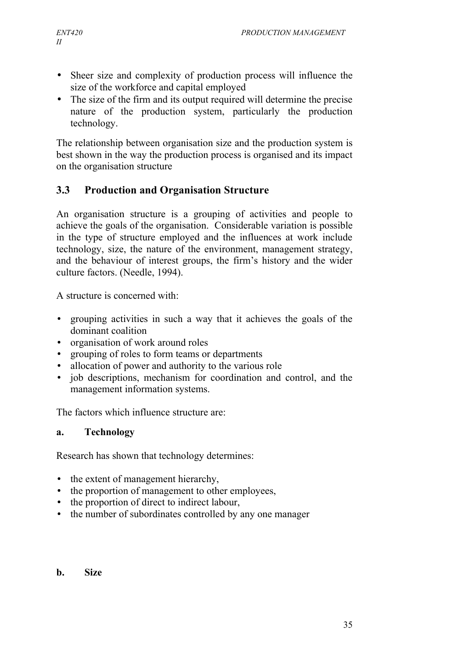- Sheer size and complexity of production process will influence the size of the workforce and capital employed
- The size of the firm and its output required will determine the precise nature of the production system, particularly the production technology.

The relationship between organisation size and the production system is best shown in the way the production process is organised and its impact on the organisation structure

# **3.3 Production and Organisation Structure**

An organisation structure is a grouping of activities and people to achieve the goals of the organisation. Considerable variation is possible in the type of structure employed and the influences at work include technology, size, the nature of the environment, management strategy, and the behaviour of interest groups, the firm's history and the wider culture factors. (Needle, 1994).

A structure is concerned with:

- grouping activities in such a way that it achieves the goals of the dominant coalition
- organisation of work around roles
- grouping of roles to form teams or departments
- allocation of power and authority to the various role
- job descriptions, mechanism for coordination and control, and the management information systems.

The factors which influence structure are:

## **a. Technology**

Research has shown that technology determines:

- the extent of management hierarchy,
- the proportion of management to other employees,
- the proportion of direct to indirect labour,
- the number of subordinates controlled by any one manager
- **b. Size**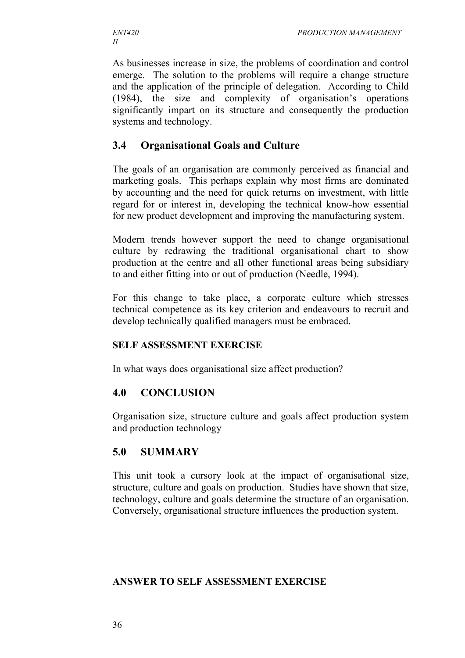As businesses increase in size, the problems of coordination and control emerge. The solution to the problems will require a change structure and the application of the principle of delegation. According to Child (1984), the size and complexity of organisation's operations significantly impart on its structure and consequently the production systems and technology.

## **3.4 Organisational Goals and Culture**

The goals of an organisation are commonly perceived as financial and marketing goals. This perhaps explain why most firms are dominated by accounting and the need for quick returns on investment, with little regard for or interest in, developing the technical know-how essential for new product development and improving the manufacturing system.

Modern trends however support the need to change organisational culture by redrawing the traditional organisational chart to show production at the centre and all other functional areas being subsidiary to and either fitting into or out of production (Needle, 1994).

For this change to take place, a corporate culture which stresses technical competence as its key criterion and endeavours to recruit and develop technically qualified managers must be embraced.

#### **SELF ASSESSMENT EXERCISE**

In what ways does organisational size affect production?

## **4.0 CONCLUSION**

Organisation size, structure culture and goals affect production system and production technology

## **5.0 SUMMARY**

This unit took a cursory look at the impact of organisational size, structure, culture and goals on production. Studies have shown that size, technology, culture and goals determine the structure of an organisation. Conversely, organisational structure influences the production system.

#### **ANSWER TO SELF ASSESSMENT EXERCISE**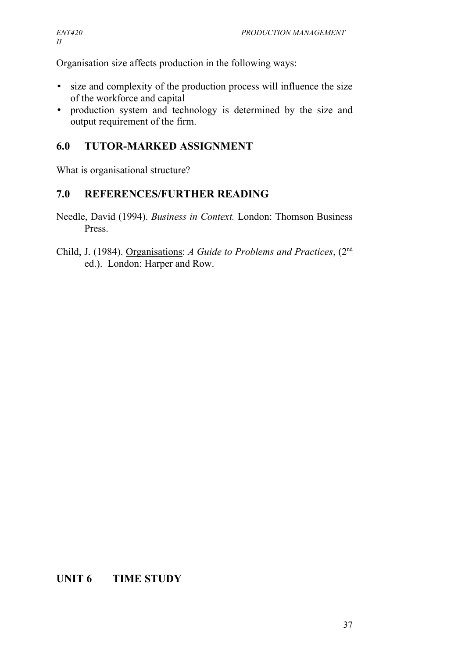Organisation size affects production in the following ways:

- size and complexity of the production process will influence the size of the workforce and capital
- production system and technology is determined by the size and output requirement of the firm.

## **6.0 TUTOR-MARKED ASSIGNMENT**

What is organisational structure?

## **7.0 REFERENCES/FURTHER READING**

- Needle, David (1994). *Business in Context.* London: Thomson Business Press.
- Child, J. (1984). Organisations: *A Guide to Problems and Practices*, (2nd ed.). London: Harper and Row.

# **UNIT 6 TIME STUDY**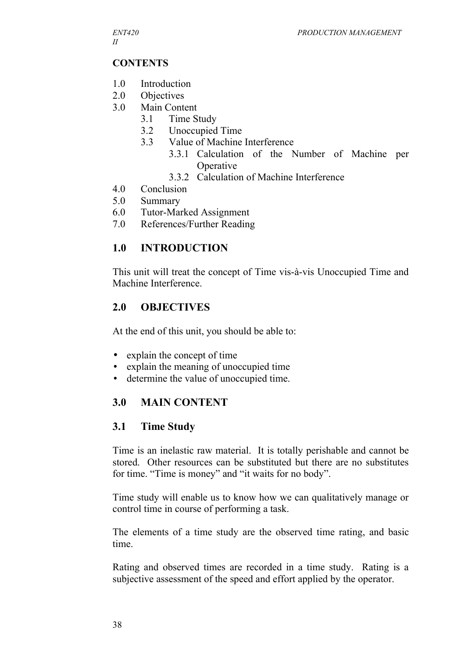## **CONTENTS**

- 1.0 Introduction
- 2.0 Objectives
- 3.0 Main Content
	- 3.1 Time Study
	- 3.2 Unoccupied Time
	- 3.3 Value of Machine Interference
		- 3.3.1 Calculation of the Number of Machine per **Operative**
		- 3.3.2 Calculation of Machine Interference
- 4.0 Conclusion
- 5.0 Summary
- 6.0 Tutor-Marked Assignment
- 7.0 References/Further Reading

# **1.0 INTRODUCTION**

This unit will treat the concept of Time vis-à-vis Unoccupied Time and Machine Interference.

# **2.0 OBJECTIVES**

At the end of this unit, you should be able to:

- explain the concept of time
- explain the meaning of unoccupied time
- determine the value of unoccupied time.

# **3.0 MAIN CONTENT**

# **3.1 Time Study**

Time is an inelastic raw material. It is totally perishable and cannot be stored. Other resources can be substituted but there are no substitutes for time. "Time is money" and "it waits for no body".

Time study will enable us to know how we can qualitatively manage or control time in course of performing a task.

The elements of a time study are the observed time rating, and basic time.

Rating and observed times are recorded in a time study. Rating is a subjective assessment of the speed and effort applied by the operator.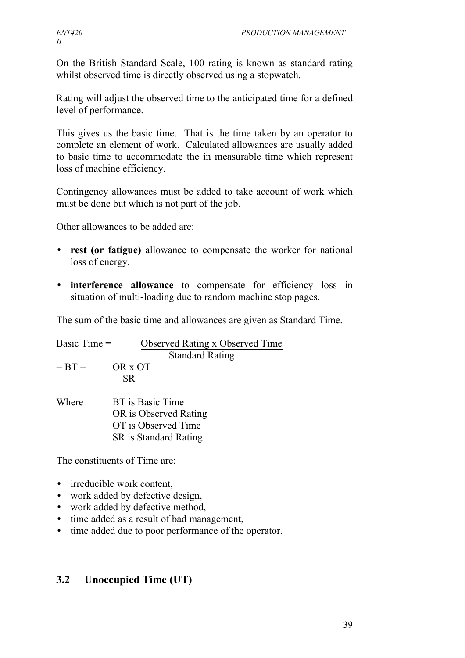On the British Standard Scale, 100 rating is known as standard rating whilst observed time is directly observed using a stopwatch.

Rating will adjust the observed time to the anticipated time for a defined level of performance.

This gives us the basic time. That is the time taken by an operator to complete an element of work. Calculated allowances are usually added to basic time to accommodate the in measurable time which represent loss of machine efficiency.

Contingency allowances must be added to take account of work which must be done but which is not part of the job.

Other allowances to be added are:

- **rest (or fatigue)** allowance to compensate the worker for national loss of energy.
- **interference allowance** to compensate for efficiency loss in situation of multi-loading due to random machine stop pages.

The sum of the basic time and allowances are given as Standard Time.

| Basic Time $=$ | Observed Rating x Observed Time |  |  |  |
|----------------|---------------------------------|--|--|--|
|                | <b>Standard Rating</b>          |  |  |  |
| $= BT =$       | OR x OT                         |  |  |  |
|                | <b>SR</b>                       |  |  |  |
| Where          | BT is Basic Time                |  |  |  |
|                | OR is Observed Rating           |  |  |  |
|                | OT is Observed Time             |  |  |  |
|                | SR is Standard Rating           |  |  |  |
|                |                                 |  |  |  |

The constituents of Time are:

- irreducible work content
- work added by defective design,
- work added by defective method,
- time added as a result of bad management,
- time added due to poor performance of the operator.

# **3.2 Unoccupied Time (UT)**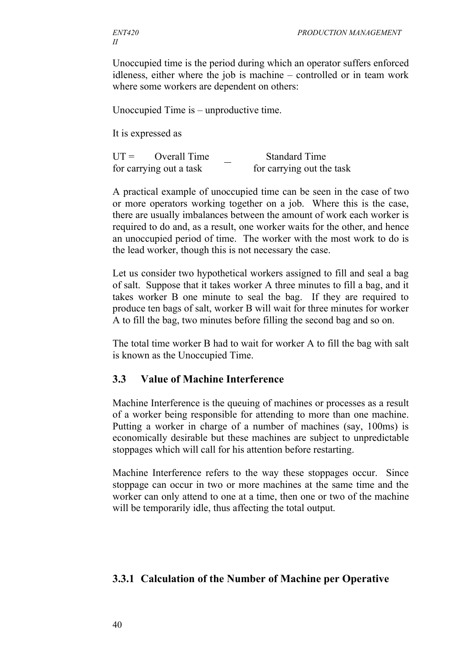Unoccupied time is the period during which an operator suffers enforced idleness, either where the job is machine – controlled or in team work where some workers are dependent on others:

Unoccupied Time is – unproductive time.

It is expressed as

UT = Overall Time Standard Time for carrying out a task for carrying out the task

A practical example of unoccupied time can be seen in the case of two or more operators working together on a job. Where this is the case, there are usually imbalances between the amount of work each worker is required to do and, as a result, one worker waits for the other, and hence an unoccupied period of time. The worker with the most work to do is the lead worker, though this is not necessary the case.

Let us consider two hypothetical workers assigned to fill and seal a bag of salt. Suppose that it takes worker A three minutes to fill a bag, and it takes worker B one minute to seal the bag. If they are required to produce ten bags of salt, worker B will wait for three minutes for worker A to fill the bag, two minutes before filling the second bag and so on.

The total time worker B had to wait for worker A to fill the bag with salt is known as the Unoccupied Time.

#### **3.3 Value of Machine Interference**

Machine Interference is the queuing of machines or processes as a result of a worker being responsible for attending to more than one machine. Putting a worker in charge of a number of machines (say, 100ms) is economically desirable but these machines are subject to unpredictable stoppages which will call for his attention before restarting.

Machine Interference refers to the way these stoppages occur. Since stoppage can occur in two or more machines at the same time and the worker can only attend to one at a time, then one or two of the machine will be temporarily idle, thus affecting the total output.

## **3.3.1 Calculation of the Number of Machine per Operative**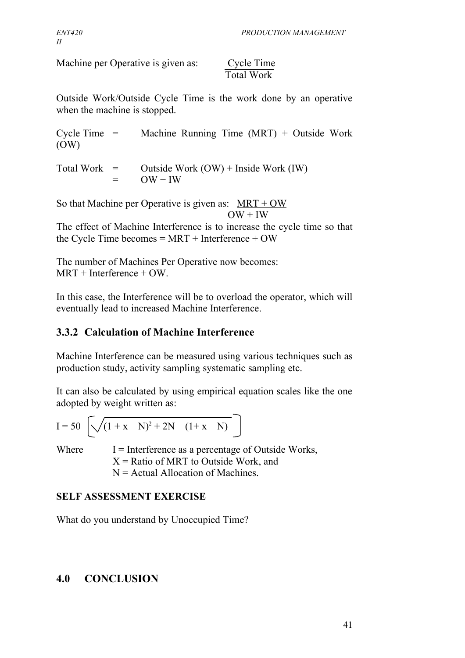Machine per Operative is given as: Cycle Time

# Total Work

Outside Work/Outside Cycle Time is the work done by an operative when the machine is stopped.

Cycle Time  $=$  Machine Running Time (MRT) + Outside Work (OW)

Total Work  $=$  Outside Work (OW) + Inside Work (IW)  $=$  OW + IW

So that Machine per Operative is given as:  $MRT + OW$  $OW + IW$ 

The effect of Machine Interference is to increase the cycle time so that the Cycle Time becomes = MRT + Interference + OW

The number of Machines Per Operative now becomes:  $MRT + Interference + OW$ .

In this case, the Interference will be to overload the operator, which will eventually lead to increased Machine Interference.

# **3.3.2 Calculation of Machine Interference**

Machine Interference can be measured using various techniques such as production study, activity sampling systematic sampling etc.

It can also be calculated by using empirical equation scales like the one adopted by weight written as:

$$
I = 50 \left[ \sqrt{(1 + x - N)^2 + 2N - (1 + x - N)} \right]
$$

Where  $I =$  Interference as a percentage of Outside Works,  $X =$  Ratio of MRT to Outside Work, and  $N =$  Actual Allocation of Machines.

# **SELF ASSESSMENT EXERCISE**

What do you understand by Unoccupied Time?

# **4.0 CONCLUSION**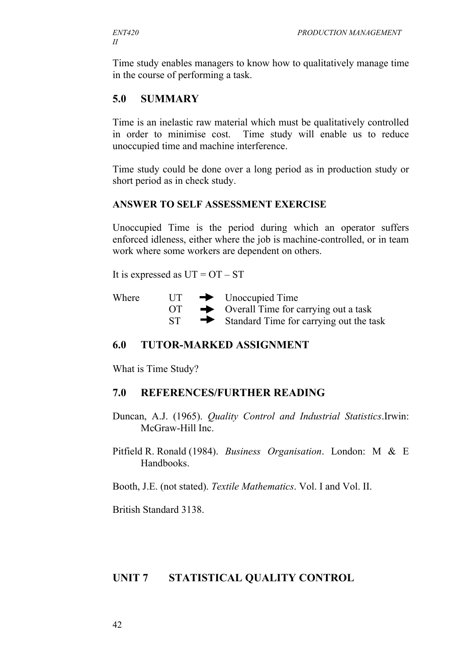Time study enables managers to know how to qualitatively manage time in the course of performing a task.

## **5.0 SUMMARY**

Time is an inelastic raw material which must be qualitatively controlled in order to minimise cost. Time study will enable us to reduce unoccupied time and machine interference.

Time study could be done over a long period as in production study or short period as in check study.

#### **ANSWER TO SELF ASSESSMENT EXERCISE**

Unoccupied Time is the period during which an operator suffers enforced idleness, either where the job is machine-controlled, or in team work where some workers are dependent on others.

It is expressed as  $UT = OT - ST$ 

| Where | UT       | $\longrightarrow$ Unoccupied Time                  |
|-------|----------|----------------------------------------------------|
|       | $\Gamma$ | $\rightarrow$ Overall Time for carrying out a task |
|       | ST.      | Standard Time for carrying out the task            |

#### **6.0 TUTOR-MARKED ASSIGNMENT**

What is Time Study?

#### **7.0 REFERENCES/FURTHER READING**

Duncan, A.J. (1965). *Quality Control and Industrial Statistics*.Irwin: McGraw-Hill Inc.

Pitfield R. Ronald (1984). *Business Organisation*. London: M & E Handbooks.

Booth, J.E. (not stated). *Textile Mathematics*. Vol. I and Vol. II.

British Standard 3138.

#### **UNIT 7 STATISTICAL QUALITY CONTROL**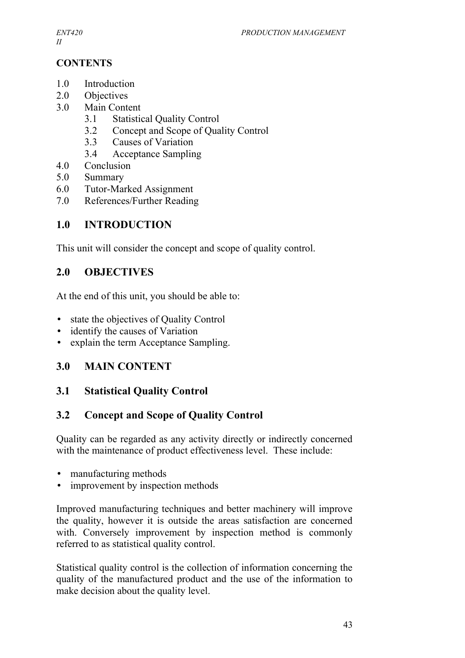*II*

## **CONTENTS**

- 1.0 Introduction
- 2.0 Objectives
- 3.0 Main Content
	- 3.1 Statistical Quality Control
	- 3.2 Concept and Scope of Quality Control
	- 3.3 Causes of Variation
	- 3.4 Acceptance Sampling
- 4.0 Conclusion
- 5.0 Summary
- 6.0 Tutor-Marked Assignment
- 7.0 References/Further Reading

## **1.0 INTRODUCTION**

This unit will consider the concept and scope of quality control.

## **2.0 OBJECTIVES**

At the end of this unit, you should be able to:

- state the objectives of Quality Control
- identify the causes of Variation
- explain the term Acceptance Sampling.

# **3.0 MAIN CONTENT**

# **3.1 Statistical Quality Control**

# **3.2 Concept and Scope of Quality Control**

Quality can be regarded as any activity directly or indirectly concerned with the maintenance of product effectiveness level. These include:

- manufacturing methods
- improvement by inspection methods

Improved manufacturing techniques and better machinery will improve the quality, however it is outside the areas satisfaction are concerned with. Conversely improvement by inspection method is commonly referred to as statistical quality control.

Statistical quality control is the collection of information concerning the quality of the manufactured product and the use of the information to make decision about the quality level.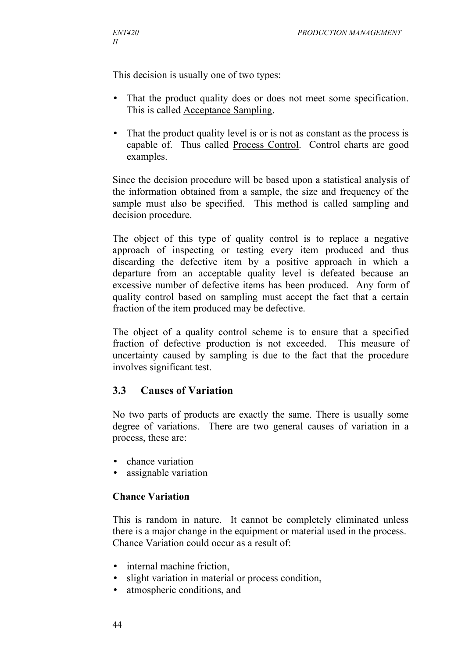This decision is usually one of two types:

- That the product quality does or does not meet some specification. This is called Acceptance Sampling.
- That the product quality level is or is not as constant as the process is capable of. Thus called Process Control. Control charts are good examples.

Since the decision procedure will be based upon a statistical analysis of the information obtained from a sample, the size and frequency of the sample must also be specified. This method is called sampling and decision procedure.

The object of this type of quality control is to replace a negative approach of inspecting or testing every item produced and thus discarding the defective item by a positive approach in which a departure from an acceptable quality level is defeated because an excessive number of defective items has been produced. Any form of quality control based on sampling must accept the fact that a certain fraction of the item produced may be defective.

The object of a quality control scheme is to ensure that a specified fraction of defective production is not exceeded. This measure of uncertainty caused by sampling is due to the fact that the procedure involves significant test.

## **3.3 Causes of Variation**

No two parts of products are exactly the same. There is usually some degree of variations. There are two general causes of variation in a process, these are:

- chance variation
- assignable variation

#### **Chance Variation**

This is random in nature. It cannot be completely eliminated unless there is a major change in the equipment or material used in the process. Chance Variation could occur as a result of:

- internal machine friction.
- slight variation in material or process condition.
- atmospheric conditions, and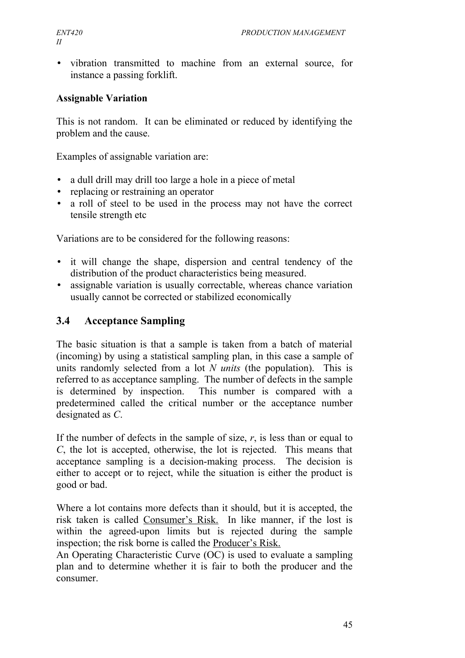• vibration transmitted to machine from an external source, for instance a passing forklift.

## **Assignable Variation**

This is not random. It can be eliminated or reduced by identifying the problem and the cause.

Examples of assignable variation are:

- a dull drill may drill too large a hole in a piece of metal
- replacing or restraining an operator
- a roll of steel to be used in the process may not have the correct tensile strength etc

Variations are to be considered for the following reasons:

- it will change the shape, dispersion and central tendency of the distribution of the product characteristics being measured.
- assignable variation is usually correctable, whereas chance variation usually cannot be corrected or stabilized economically

# **3.4 Acceptance Sampling**

The basic situation is that a sample is taken from a batch of material (incoming) by using a statistical sampling plan, in this case a sample of units randomly selected from a lot *N units* (the population). This is referred to as acceptance sampling. The number of defects in the sample is determined by inspection. This number is compared with a predetermined called the critical number or the acceptance number designated as *C*.

If the number of defects in the sample of size, *r*, is less than or equal to *C*, the lot is accepted, otherwise, the lot is rejected. This means that acceptance sampling is a decision-making process. The decision is either to accept or to reject, while the situation is either the product is good or bad.

Where a lot contains more defects than it should, but it is accepted, the risk taken is called Consumer's Risk. In like manner, if the lost is within the agreed-upon limits but is rejected during the sample inspection; the risk borne is called the Producer's Risk.

An Operating Characteristic Curve (OC) is used to evaluate a sampling plan and to determine whether it is fair to both the producer and the consumer.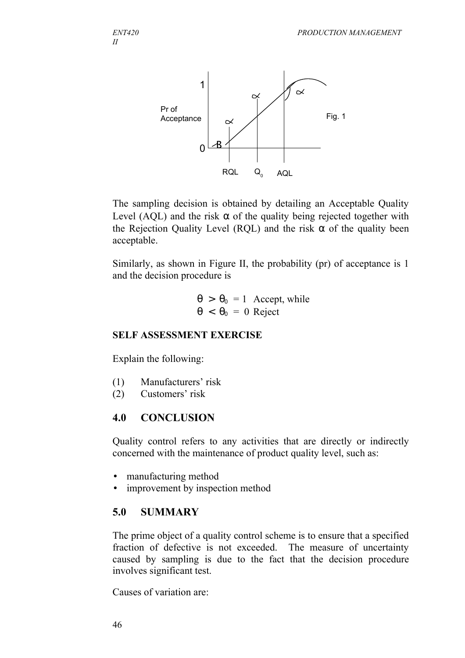

The sampling decision is obtained by detailing an Acceptable Quality Level (AQL) and the risk  $\alpha$  of the quality being rejected together with the Rejection Quality Level (RQL) and the risk  $\alpha$  of the quality been acceptable.

Similarly, as shown in Figure II, the probability (pr) of acceptance is 1 and the decision procedure is

$$
\theta > \theta_0 = 1
$$
 Accept, while  

$$
\theta < \theta_0 = 0
$$
 Reject

#### **SELF ASSESSMENT EXERCISE**

Explain the following:

- (1) Manufacturers' risk
- (2) Customers' risk

## **4.0 CONCLUSION**

Quality control refers to any activities that are directly or indirectly concerned with the maintenance of product quality level, such as:

- manufacturing method
- improvement by inspection method

# **5.0 SUMMARY**

The prime object of a quality control scheme is to ensure that a specified fraction of defective is not exceeded. The measure of uncertainty caused by sampling is due to the fact that the decision procedure involves significant test.

Causes of variation are: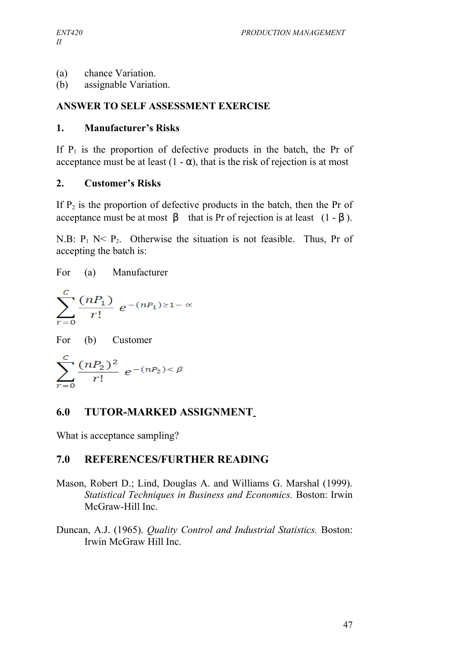- (a) chance Variation.
- (b) assignable Variation.

#### **ANSWER TO SELF ASSESSMENT EXERCISE**

#### **1. Manufacturer's Risks**

If  $P_1$  is the proportion of defective products in the batch, the Pr of acceptance must be at least  $(1 - \alpha)$ , that is the risk of rejection is at most

#### **2. Customer's Risks**

If  $P_2$  is the proportion of defective products in the batch, then the Pr of acceptance must be at most  $\beta$  that is Pr of rejection is at least (1 - β).

N.B:  $P_1$  N<  $P_2$ . Otherwise the situation is not feasible. Thus, Pr of accepting the batch is:

For (a) Manufacturer  $\sum_{r=0}^{C} \frac{(nP_1)}{r!} e^{-(nP_1)\geq 1-\alpha}$ For (b) Customer  $\sum_{r=1}^{C} \frac{(nP_2)^2}{r!} e^{-(nP_2) < \beta}$ 

## **6.0 TUTOR-MARKED ASSIGNMENT**

What is acceptance sampling?

# **7.0 REFERENCES/FURTHER READING**

- Mason, Robert D.; Lind, Douglas A. and Williams G. Marshal (1999). *Statistical Techniques in Business and Economics.* Boston: Irwin McGraw-Hill Inc.
- Duncan, A.J. (1965). *Quality Control and Industrial Statistics.* Boston: Irwin McGraw Hill Inc.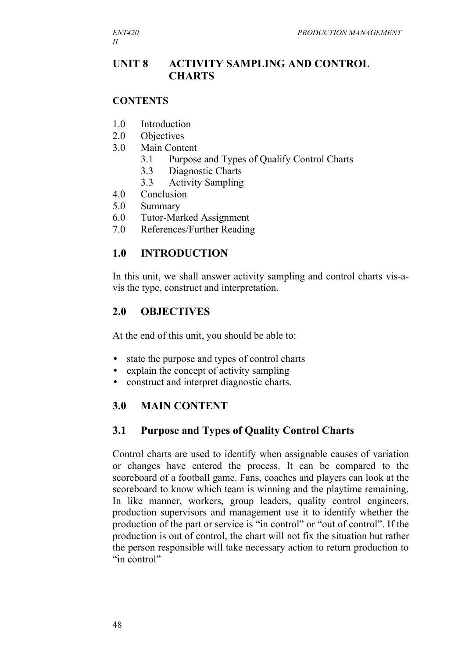## **UNIT 8 ACTIVITY SAMPLING AND CONTROL CHARTS**

#### **CONTENTS**

- 1.0 Introduction
- 2.0 Objectives
- 3.0 Main Content
	- 3.1 Purpose and Types of Qualify Control Charts
	- 3.3 Diagnostic Charts
	- 3.3 Activity Sampling
- 4.0 Conclusion
- 5.0 Summary
- 6.0 Tutor-Marked Assignment
- 7.0 References/Further Reading

#### **1.0 INTRODUCTION**

In this unit, we shall answer activity sampling and control charts vis-avis the type, construct and interpretation.

#### **2.0 OBJECTIVES**

At the end of this unit, you should be able to:

- state the purpose and types of control charts
- explain the concept of activity sampling
- construct and interpret diagnostic charts.

## **3.0 MAIN CONTENT**

#### **3.1 Purpose and Types of Quality Control Charts**

Control charts are used to identify when assignable causes of variation or changes have entered the process. It can be compared to the scoreboard of a football game. Fans, coaches and players can look at the scoreboard to know which team is winning and the playtime remaining. In like manner, workers, group leaders, quality control engineers, production supervisors and management use it to identify whether the production of the part or service is "in control" or "out of control". If the production is out of control, the chart will not fix the situation but rather the person responsible will take necessary action to return production to "in control"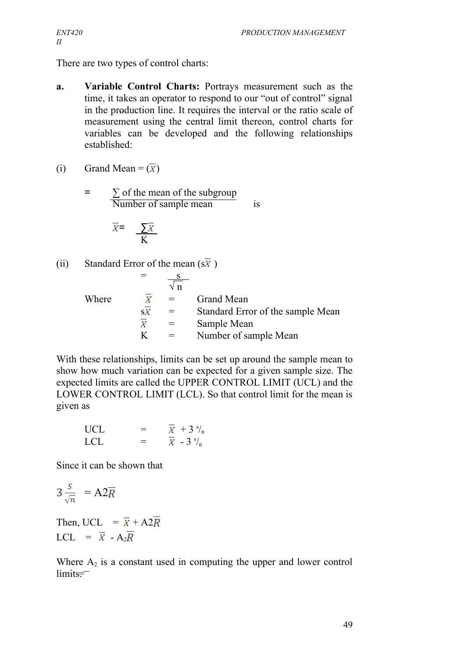There are two types of control charts:

**a. Variable Control Charts:** Portrays measurement such as the time, it takes an operator to respond to our "out of control" signal in the production line. It requires the interval or the ratio scale of measurement using the central limit thereon, control charts for variables can be developed and the following relationships established:

(i) Grand Mean =  $(\overline{X})$ 

 $=$   $\sum$  of the mean of the subgroup  $\overline{\text{Number of sample mean}}$  is

$$
\overline{X} = \frac{\sum \overline{X}}{K}
$$

(ii) Standard Error of the mean  $(s\overline{x})$ 

|       |     | $\sqrt{n}$ |                                   |
|-------|-----|------------|-----------------------------------|
| Where | Χ   | $=$        | <b>Grand Mean</b>                 |
|       | S X |            | Standard Error of the sample Mean |
|       |     |            | Sample Mean                       |
|       |     |            | Number of sample Mean             |

With these relationships, limits can be set up around the sample mean to show how much variation can be expected for a given sample size. The expected limits are called the UPPER CONTROL LIMIT (UCL) and the LOWER CONTROL LIMIT (LCL). So that control limit for the mean is given as

UCL = 
$$
\overline{X}
$$
 + 3<sup>s</sup>/<sub>n</sub>  
LCL =  $\overline{X}$  - 3<sup>s</sup>/<sub>n</sub>

Since it can be shown that

$$
3\frac{s}{\sqrt{n}} = A2\overline{R}
$$

Then, UCL =  $\overline{X}$  + A2 $\overline{R}$ LCL =  $\overline{X}$  - A<sub>2</sub> $\overline{R}$ 

Where  $A_2$  is a constant used in computing the upper and lower control limits<del>.</del>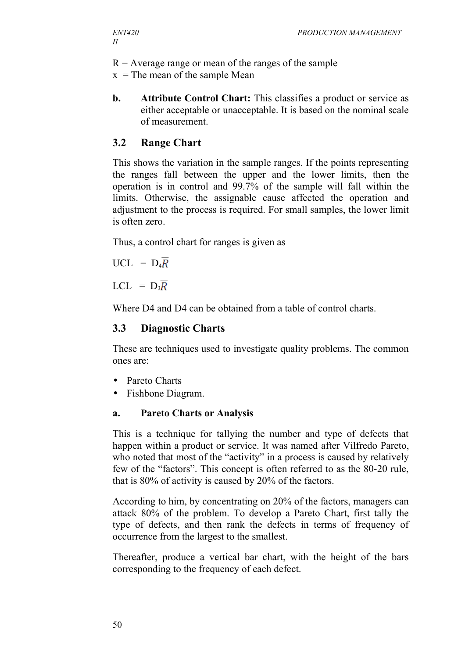$R =$  Average range or mean of the ranges of the sample

 $x =$ The mean of the sample Mean

**b. Attribute Control Chart:** This classifies a product or service as either acceptable or unacceptable. It is based on the nominal scale of measurement.

#### **3.2 Range Chart**

This shows the variation in the sample ranges. If the points representing the ranges fall between the upper and the lower limits, then the operation is in control and 99.7% of the sample will fall within the limits. Otherwise, the assignable cause affected the operation and adjustment to the process is required. For small samples, the lower limit is often zero.

Thus, a control chart for ranges is given as

 $UCL = D_4R$ 

LCL =  $D_3R$ 

Where D4 and D4 can be obtained from a table of control charts.

#### **3.3 Diagnostic Charts**

These are techniques used to investigate quality problems. The common ones are:

- Pareto Charts
- Fishbone Diagram.

#### **a. Pareto Charts or Analysis**

This is a technique for tallying the number and type of defects that happen within a product or service. It was named after Vilfredo Pareto, who noted that most of the "activity" in a process is caused by relatively few of the "factors". This concept is often referred to as the 80-20 rule, that is 80% of activity is caused by 20% of the factors.

According to him, by concentrating on 20% of the factors, managers can attack 80% of the problem. To develop a Pareto Chart, first tally the type of defects, and then rank the defects in terms of frequency of occurrence from the largest to the smallest.

Thereafter, produce a vertical bar chart, with the height of the bars corresponding to the frequency of each defect.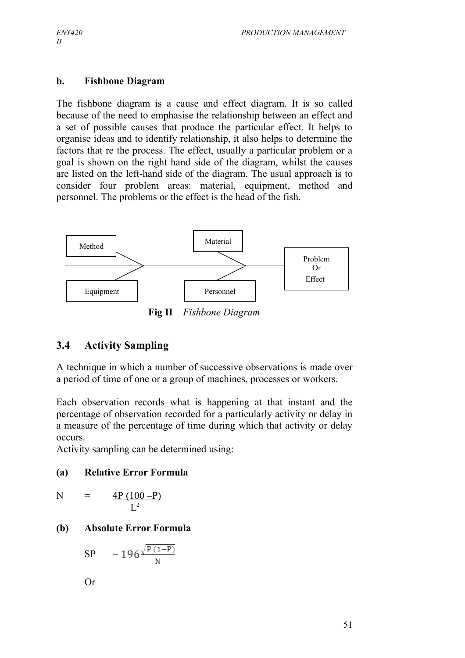#### **b. Fishbone Diagram**

The fishbone diagram is a cause and effect diagram. It is so called because of the need to emphasise the relationship between an effect and a set of possible causes that produce the particular effect. It helps to organise ideas and to identify relationship, it also helps to determine the factors that re the process. The effect, usually a particular problem or a goal is shown on the right hand side of the diagram, whilst the causes are listed on the left-hand side of the diagram. The usual approach is to consider four problem areas: material, equipment, method and personnel. The problems or the effect is the head of the fish.



**Fig II** *– Fishbone Diagram*

## **3.4 Activity Sampling**

A technique in which a number of successive observations is made over a period of time of one or a group of machines, processes or workers.

Each observation records what is happening at that instant and the percentage of observation recorded for a particularly activity or delay in a measure of the percentage of time during which that activity or delay occurs.

Activity sampling can be determined using:

#### **(a) Relative Error Formula**

$$
N = \frac{4P (100 - P)}{L^2}
$$

#### **(b) Absolute Error Formula**

$$
SP = 196 \frac{\sqrt{P(1-P)}}{N}
$$

Or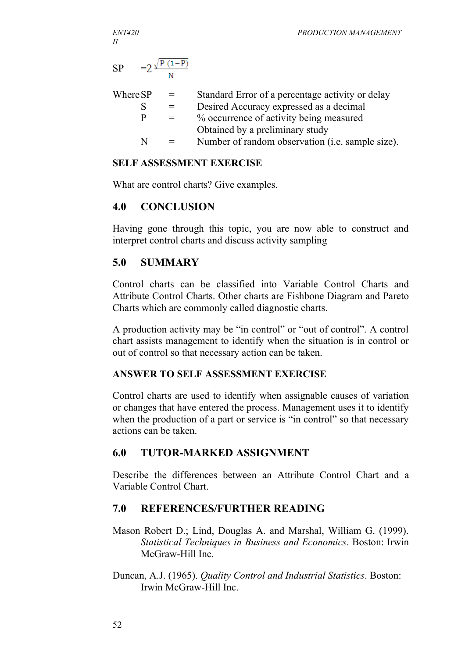*II*

*ENT420 PRODUCTION MANAGEMENT*

$$
SP = 2 \frac{\sqrt{P(1-P)}}{N}
$$

| Where SP | $=$ | Standard Error of a percentage activity or delay |
|----------|-----|--------------------------------------------------|
|          | $=$ | Desired Accuracy expressed as a decimal          |
| p        | $=$ | % occurrence of activity being measured          |
|          |     | Obtained by a preliminary study                  |
| N        | $=$ | Number of random observation (i.e. sample size). |
|          |     |                                                  |

#### **SELF ASSESSMENT EXERCISE**

What are control charts? Give examples.

## **4.0 CONCLUSION**

Having gone through this topic, you are now able to construct and interpret control charts and discuss activity sampling

## **5.0 SUMMARY**

Control charts can be classified into Variable Control Charts and Attribute Control Charts. Other charts are Fishbone Diagram and Pareto Charts which are commonly called diagnostic charts.

A production activity may be "in control" or "out of control". A control chart assists management to identify when the situation is in control or out of control so that necessary action can be taken.

## **ANSWER TO SELF ASSESSMENT EXERCISE**

Control charts are used to identify when assignable causes of variation or changes that have entered the process. Management uses it to identify when the production of a part or service is "in control" so that necessary actions can be taken.

## **6.0 TUTOR-MARKED ASSIGNMENT**

Describe the differences between an Attribute Control Chart and a Variable Control Chart.

# **7.0 REFERENCES/FURTHER READING**

- Mason Robert D.; Lind, Douglas A. and Marshal, William G. (1999). *Statistical Techniques in Business and Economics*. Boston: Irwin McGraw-Hill Inc.
- Duncan, A.J. (1965). *Quality Control and Industrial Statistics*. Boston: Irwin McGraw-Hill Inc.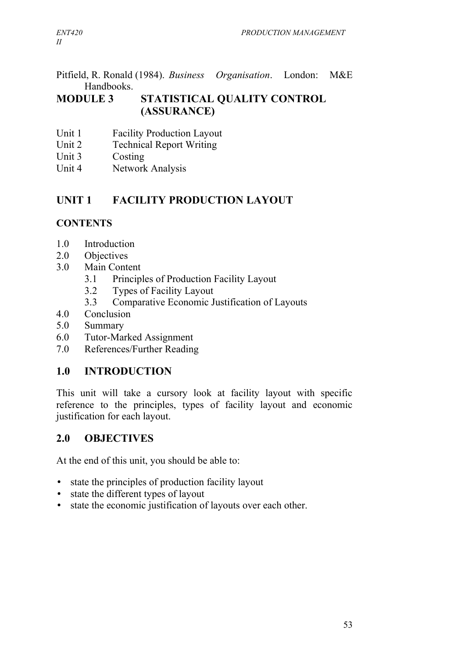Pitfield, R. Ronald (1984). *Business Organisation*. London: M&E Handbooks.

# **MODULE 3 STATISTICAL QUALITY CONTROL (ASSURANCE)**

- Unit 1 Facility Production Layout
- Unit 2 Technical Report Writing
- Unit 3 Costing
- Unit 4 Network Analysis

# **UNIT 1 FACILITY PRODUCTION LAYOUT**

# **CONTENTS**

- 1.0 Introduction
- 2.0 Objectives
- 3.0 Main Content
	- 3.1 Principles of Production Facility Layout
	- 3.2 Types of Facility Layout
	- 3.3 Comparative Economic Justification of Layouts
- 4.0 Conclusion
- 5.0 Summary
- 6.0 Tutor-Marked Assignment
- 7.0 References/Further Reading

# **1.0 INTRODUCTION**

This unit will take a cursory look at facility layout with specific reference to the principles, types of facility layout and economic justification for each layout.

## **2.0 OBJECTIVES**

At the end of this unit, you should be able to:

- state the principles of production facility layout
- state the different types of layout
- state the economic justification of layouts over each other.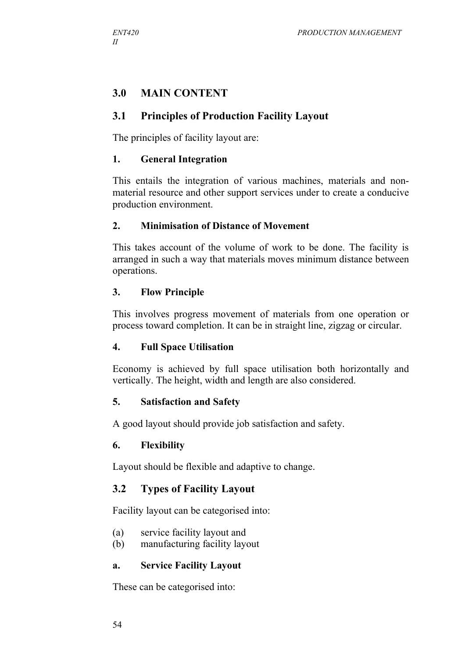## **3.0 MAIN CONTENT**

#### **3.1 Principles of Production Facility Layout**

The principles of facility layout are:

#### **1. General Integration**

This entails the integration of various machines, materials and nonmaterial resource and other support services under to create a conducive production environment.

#### **2. Minimisation of Distance of Movement**

This takes account of the volume of work to be done. The facility is arranged in such a way that materials moves minimum distance between operations.

#### **3. Flow Principle**

This involves progress movement of materials from one operation or process toward completion. It can be in straight line, zigzag or circular.

#### **4. Full Space Utilisation**

Economy is achieved by full space utilisation both horizontally and vertically. The height, width and length are also considered.

#### **5. Satisfaction and Safety**

A good layout should provide job satisfaction and safety.

#### **6. Flexibility**

Layout should be flexible and adaptive to change.

#### **3.2 Types of Facility Layout**

Facility layout can be categorised into:

- (a) service facility layout and
- (b) manufacturing facility layout

#### **a. Service Facility Layout**

These can be categorised into: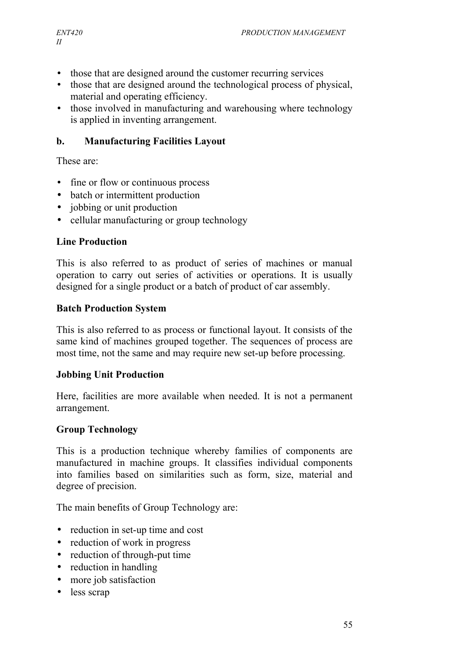- those that are designed around the customer recurring services
- those that are designed around the technological process of physical, material and operating efficiency.
- those involved in manufacturing and warehousing where technology is applied in inventing arrangement.

#### **b. Manufacturing Facilities Layout**

These are:

- fine or flow or continuous process
- batch or intermittent production
- jobbing or unit production
- cellular manufacturing or group technology

#### **Line Production**

This is also referred to as product of series of machines or manual operation to carry out series of activities or operations. It is usually designed for a single product or a batch of product of car assembly.

#### **Batch Production System**

This is also referred to as process or functional layout. It consists of the same kind of machines grouped together. The sequences of process are most time, not the same and may require new set-up before processing.

#### **Jobbing Unit Production**

Here, facilities are more available when needed. It is not a permanent arrangement.

#### **Group Technology**

This is a production technique whereby families of components are manufactured in machine groups. It classifies individual components into families based on similarities such as form, size, material and degree of precision.

The main benefits of Group Technology are:

- reduction in set-up time and cost
- reduction of work in progress
- reduction of through-put time
- reduction in handling
- more job satisfaction
- less scrap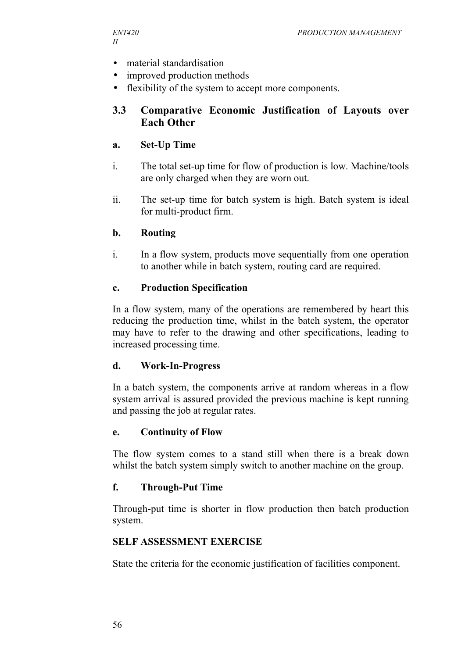- material standardisation
- improved production methods
- flexibility of the system to accept more components.

#### **3.3 Comparative Economic Justification of Layouts over Each Other**

#### **a. Set-Up Time**

- i. The total set-up time for flow of production is low. Machine/tools are only charged when they are worn out.
- ii. The set-up time for batch system is high. Batch system is ideal for multi-product firm.

#### **b. Routing**

i. In a flow system, products move sequentially from one operation to another while in batch system, routing card are required.

#### **c. Production Specification**

In a flow system, many of the operations are remembered by heart this reducing the production time, whilst in the batch system, the operator may have to refer to the drawing and other specifications, leading to increased processing time.

#### **d. Work-In-Progress**

In a batch system, the components arrive at random whereas in a flow system arrival is assured provided the previous machine is kept running and passing the job at regular rates.

#### **e. Continuity of Flow**

The flow system comes to a stand still when there is a break down whilst the batch system simply switch to another machine on the group.

#### **f. Through-Put Time**

Through-put time is shorter in flow production then batch production system.

#### **SELF ASSESSMENT EXERCISE**

State the criteria for the economic justification of facilities component.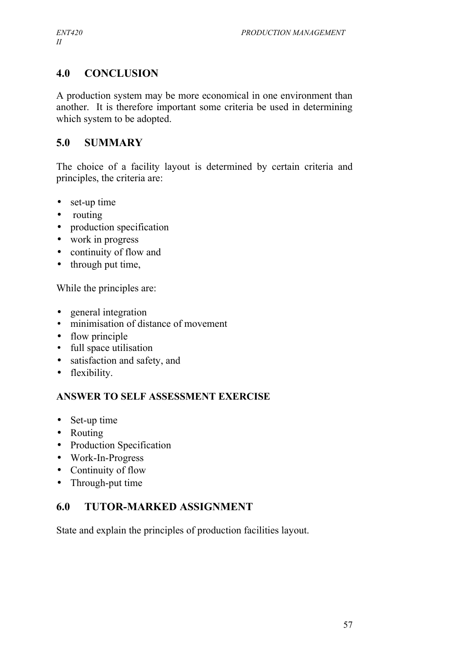# **4.0 CONCLUSION**

A production system may be more economical in one environment than another. It is therefore important some criteria be used in determining which system to be adopted.

## **5.0 SUMMARY**

The choice of a facility layout is determined by certain criteria and principles, the criteria are:

- set-up time
- routing
- production specification
- work in progress
- continuity of flow and
- through put time,

While the principles are:

- general integration
- minimisation of distance of movement
- flow principle
- full space utilisation
- satisfaction and safety, and
- flexibility.

## **ANSWER TO SELF ASSESSMENT EXERCISE**

- Set-up time
- Routing
- Production Specification
- Work-In-Progress
- Continuity of flow
- Through-put time

# **6.0 TUTOR-MARKED ASSIGNMENT**

State and explain the principles of production facilities layout.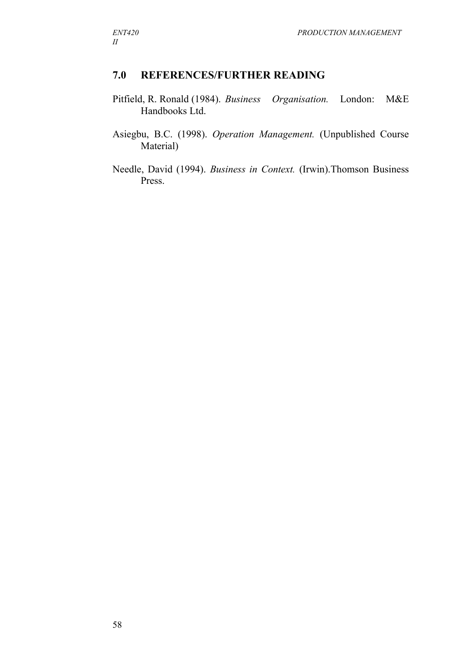# **7.0 REFERENCES/FURTHER READING**

- Pitfield, R. Ronald (1984). *Business Organisation.* London: M&E Handbooks Ltd.
- Asiegbu, B.C. (1998). *Operation Management.* (Unpublished Course Material)
- Needle, David (1994). *Business in Context.* (Irwin).Thomson Business Press.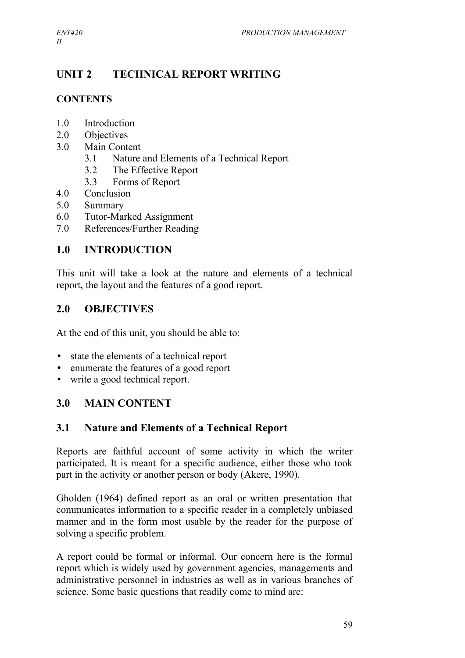# **UNIT 2 TECHNICAL REPORT WRITING**

# **CONTENTS**

- 1.0 Introduction
- 2.0 Objectives
- 3.0 Main Content
	- 3.1 Nature and Elements of a Technical Report
	- 3.2 The Effective Report
	- 3.3 Forms of Report
- 4.0 Conclusion
- 5.0 Summary
- 6.0 Tutor-Marked Assignment
- 7.0 References/Further Reading

# **1.0 INTRODUCTION**

This unit will take a look at the nature and elements of a technical report, the layout and the features of a good report.

# **2.0 OBJECTIVES**

At the end of this unit, you should be able to:

- state the elements of a technical report
- enumerate the features of a good report
- write a good technical report.

# **3.0 MAIN CONTENT**

# **3.1 Nature and Elements of a Technical Report**

Reports are faithful account of some activity in which the writer participated. It is meant for a specific audience, either those who took part in the activity or another person or body (Akere, 1990).

Gholden (1964) defined report as an oral or written presentation that communicates information to a specific reader in a completely unbiased manner and in the form most usable by the reader for the purpose of solving a specific problem.

A report could be formal or informal. Our concern here is the formal report which is widely used by government agencies, managements and administrative personnel in industries as well as in various branches of science. Some basic questions that readily come to mind are: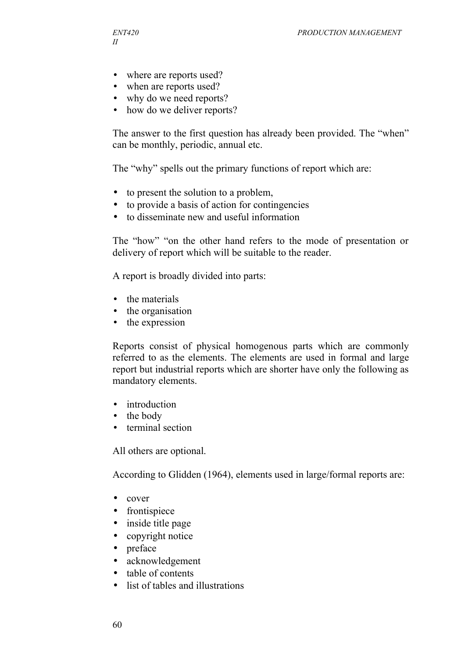- where are reports used?
- when are reports used?
- why do we need reports?
- how do we deliver reports?

The answer to the first question has already been provided. The "when" can be monthly, periodic, annual etc.

The "why" spells out the primary functions of report which are:

- to present the solution to a problem,
- to provide a basis of action for contingencies
- to disseminate new and useful information

The "how" "on the other hand refers to the mode of presentation or delivery of report which will be suitable to the reader.

A report is broadly divided into parts:

- the materials
- the organisation
- the expression

Reports consist of physical homogenous parts which are commonly referred to as the elements. The elements are used in formal and large report but industrial reports which are shorter have only the following as mandatory elements.

- introduction
- the body
- terminal section

All others are optional.

According to Glidden (1964), elements used in large/formal reports are:

- cover
- frontispiece
- inside title page
- copyright notice
- preface
- acknowledgement
- table of contents
- list of tables and illustrations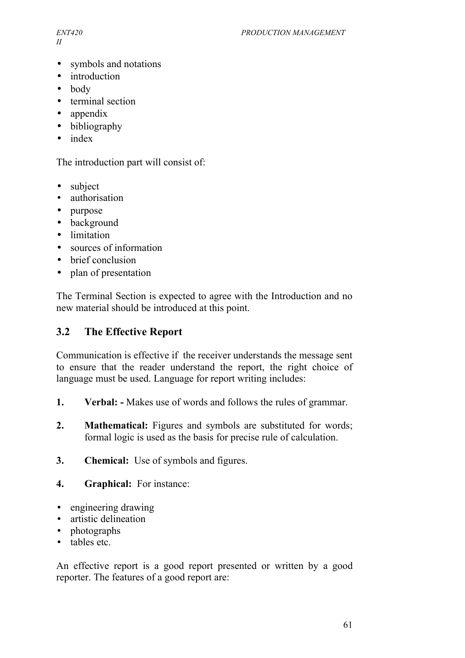*II*

- symbols and notations
- introduction
- body
- terminal section
- appendix
- bibliography
- index

The introduction part will consist of:

- subject
- authorisation
- purpose
- background
- limitation
- sources of information
- brief conclusion
- plan of presentation

The Terminal Section is expected to agree with the Introduction and no new material should be introduced at this point.

#### **3.2 The Effective Report**

Communication is effective if the receiver understands the message sent to ensure that the reader understand the report, the right choice of language must be used. Language for report writing includes:

- **1. Verbal:** Makes use of words and follows the rules of grammar.
- **2. Mathematical:** Figures and symbols are substituted for words; formal logic is used as the basis for precise rule of calculation.
- **3. Chemical:** Use of symbols and figures.
- **4. Graphical:** For instance:
- engineering drawing
- artistic delineation
- photographs
- tables etc.

An effective report is a good report presented or written by a good reporter. The features of a good report are: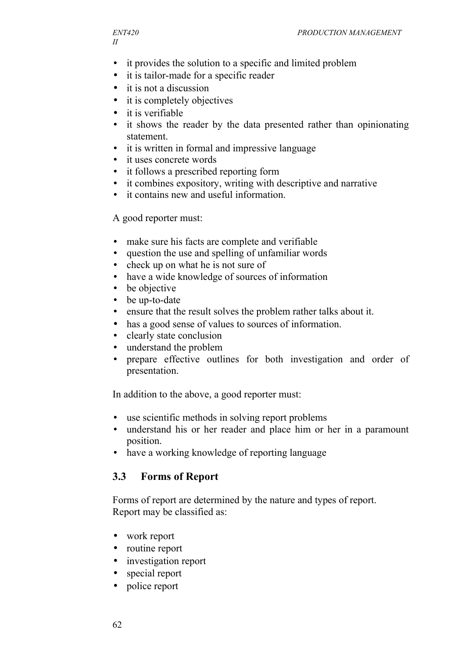- it provides the solution to a specific and limited problem
- it is tailor-made for a specific reader
- it is not a discussion
- it is completely objectives
- it is verifiable
- it shows the reader by the data presented rather than opinionating statement.
- it is written in formal and impressive language
- it uses concrete words
- it follows a prescribed reporting form
- it combines expository, writing with descriptive and narrative
- it contains new and useful information.

#### A good reporter must:

- make sure his facts are complete and verifiable
- question the use and spelling of unfamiliar words
- check up on what he is not sure of
- have a wide knowledge of sources of information
- be objective
- be up-to-date
- ensure that the result solves the problem rather talks about it.
- has a good sense of values to sources of information.
- clearly state conclusion
- understand the problem
- prepare effective outlines for both investigation and order of presentation.

In addition to the above, a good reporter must:

- use scientific methods in solving report problems
- understand his or her reader and place him or her in a paramount position.
- have a working knowledge of reporting language

# **3.3 Forms of Report**

Forms of report are determined by the nature and types of report. Report may be classified as:

- work report
- routine report
- investigation report
- special report
- police report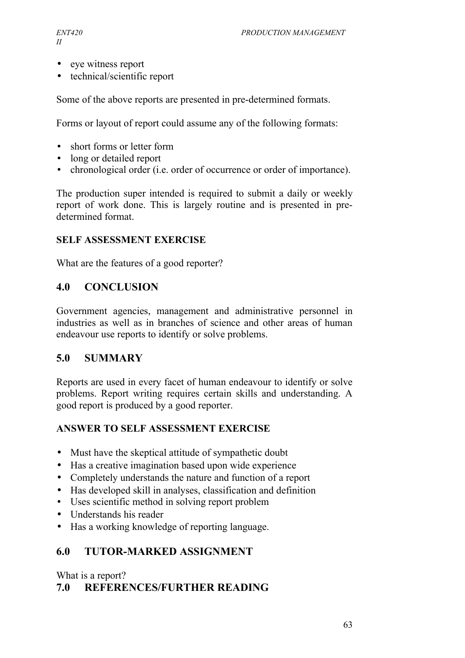- eye witness report
- technical/scientific report

Some of the above reports are presented in pre-determined formats.

Forms or layout of report could assume any of the following formats:

- short forms or letter form
- long or detailed report
- chronological order (i.e. order of occurrence or order of importance).

The production super intended is required to submit a daily or weekly report of work done. This is largely routine and is presented in predetermined format.

### **SELF ASSESSMENT EXERCISE**

What are the features of a good reporter?

### **4.0 CONCLUSION**

Government agencies, management and administrative personnel in industries as well as in branches of science and other areas of human endeavour use reports to identify or solve problems.

## **5.0 SUMMARY**

Reports are used in every facet of human endeavour to identify or solve problems. Report writing requires certain skills and understanding. A good report is produced by a good reporter.

#### **ANSWER TO SELF ASSESSMENT EXERCISE**

- Must have the skeptical attitude of sympathetic doubt
- Has a creative imagination based upon wide experience
- Completely understands the nature and function of a report
- Has developed skill in analyses, classification and definition
- Uses scientific method in solving report problem
- Understands his reader
- Has a working knowledge of reporting language.

## **6.0 TUTOR-MARKED ASSIGNMENT**

What is a report?

## **7.0 REFERENCES/FURTHER READING**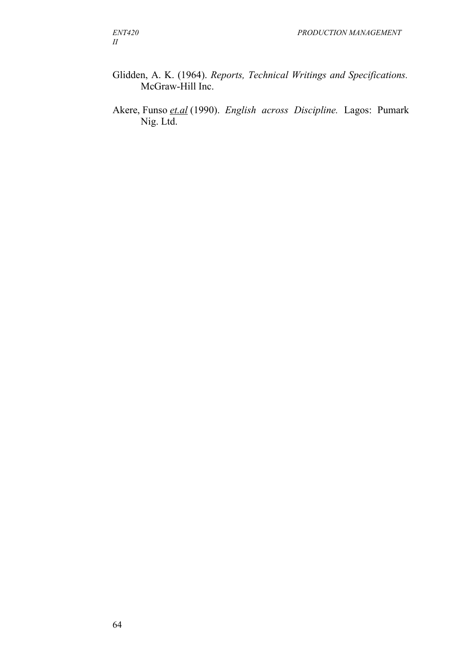- Glidden, A. K. (1964). *Reports, Technical Writings and Specifications.* McGraw-Hill Inc.
- Akere, Funso *et.al* (1990). *English across Discipline.* Lagos: Pumark Nig. Ltd.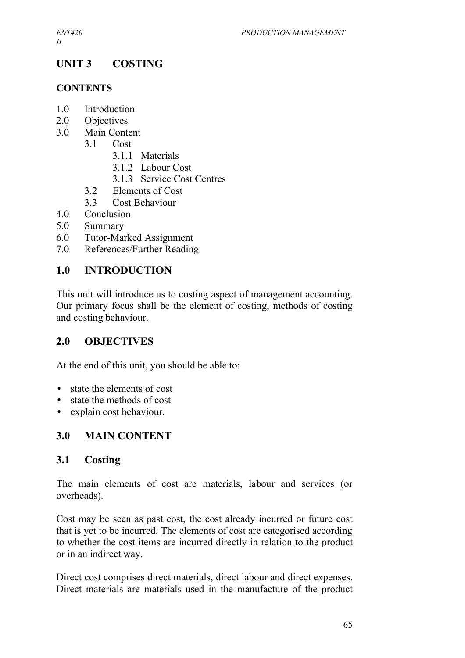# **UNIT 3 COSTING**

### **CONTENTS**

- 1.0 Introduction
- 2.0 Objectives
- 3.0 Main Content
	- 3.1 Cost
		- 3.1.1 Materials
		- 3.1.2 Labour Cost
		- 3.1.3 Service Cost Centres
	- 3.2 Elements of Cost
	- 3.3 Cost Behaviour
- 4.0 Conclusion
- 5.0 Summary
- 6.0 Tutor-Marked Assignment
- 7.0 References/Further Reading

## **1.0 INTRODUCTION**

This unit will introduce us to costing aspect of management accounting. Our primary focus shall be the element of costing, methods of costing and costing behaviour.

## **2.0 OBJECTIVES**

At the end of this unit, you should be able to:

- state the elements of cost
- state the methods of cost
- explain cost behaviour.

## **3.0 MAIN CONTENT**

## **3.1 Costing**

The main elements of cost are materials, labour and services (or overheads).

Cost may be seen as past cost, the cost already incurred or future cost that is yet to be incurred. The elements of cost are categorised according to whether the cost items are incurred directly in relation to the product or in an indirect way.

Direct cost comprises direct materials, direct labour and direct expenses. Direct materials are materials used in the manufacture of the product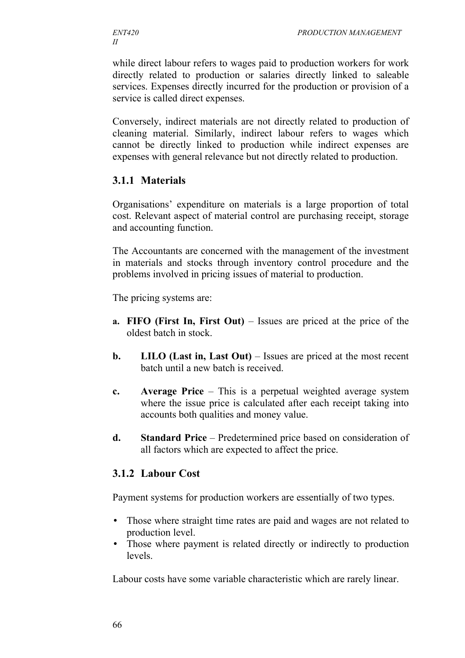while direct labour refers to wages paid to production workers for work directly related to production or salaries directly linked to saleable services. Expenses directly incurred for the production or provision of a service is called direct expenses.

Conversely, indirect materials are not directly related to production of cleaning material. Similarly, indirect labour refers to wages which cannot be directly linked to production while indirect expenses are expenses with general relevance but not directly related to production.

### **3.1.1 Materials**

Organisations' expenditure on materials is a large proportion of total cost. Relevant aspect of material control are purchasing receipt, storage and accounting function.

The Accountants are concerned with the management of the investment in materials and stocks through inventory control procedure and the problems involved in pricing issues of material to production.

The pricing systems are:

- **a. FIFO (First In, First Out)**  Issues are priced at the price of the oldest batch in stock.
- **b. LILO (Last in, Last Out)** Issues are priced at the most recent batch until a new batch is received.
- **c. Average Price** This is a perpetual weighted average system where the issue price is calculated after each receipt taking into accounts both qualities and money value.
- **d. Standard Price** Predetermined price based on consideration of all factors which are expected to affect the price.

#### **3.1.2 Labour Cost**

Payment systems for production workers are essentially of two types.

- Those where straight time rates are paid and wages are not related to production level.
- Those where payment is related directly or indirectly to production levels.

Labour costs have some variable characteristic which are rarely linear.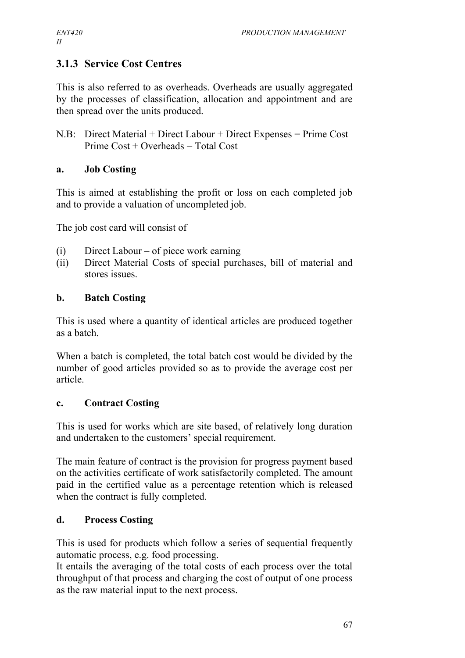## **3.1.3 Service Cost Centres**

This is also referred to as overheads. Overheads are usually aggregated by the processes of classification, allocation and appointment and are then spread over the units produced.

N.B: Direct Material + Direct Labour + Direct Expenses = Prime Cost Prime Cost + Overheads = Total Cost

### **a. Job Costing**

This is aimed at establishing the profit or loss on each completed job and to provide a valuation of uncompleted job.

The job cost card will consist of

- (i) Direct Labour of piece work earning
- (ii) Direct Material Costs of special purchases, bill of material and stores issues.

## **b. Batch Costing**

This is used where a quantity of identical articles are produced together as a batch.

When a batch is completed, the total batch cost would be divided by the number of good articles provided so as to provide the average cost per article.

## **c. Contract Costing**

This is used for works which are site based, of relatively long duration and undertaken to the customers' special requirement.

The main feature of contract is the provision for progress payment based on the activities certificate of work satisfactorily completed. The amount paid in the certified value as a percentage retention which is released when the contract is fully completed.

## **d. Process Costing**

This is used for products which follow a series of sequential frequently automatic process, e.g. food processing.

It entails the averaging of the total costs of each process over the total throughput of that process and charging the cost of output of one process as the raw material input to the next process.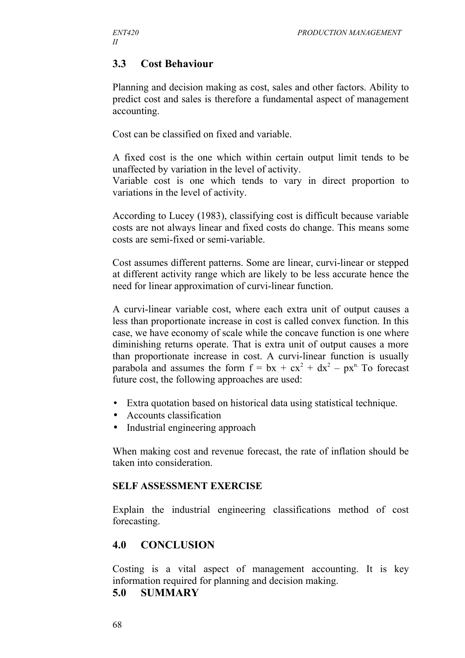## **3.3 Cost Behaviour**

Planning and decision making as cost, sales and other factors. Ability to predict cost and sales is therefore a fundamental aspect of management accounting.

Cost can be classified on fixed and variable.

A fixed cost is the one which within certain output limit tends to be unaffected by variation in the level of activity.

Variable cost is one which tends to vary in direct proportion to variations in the level of activity.

According to Lucey (1983), classifying cost is difficult because variable costs are not always linear and fixed costs do change. This means some costs are semi-fixed or semi-variable.

Cost assumes different patterns. Some are linear, curvi-linear or stepped at different activity range which are likely to be less accurate hence the need for linear approximation of curvi-linear function.

A curvi-linear variable cost, where each extra unit of output causes a less than proportionate increase in cost is called convex function. In this case, we have economy of scale while the concave function is one where diminishing returns operate. That is extra unit of output causes a more than proportionate increase in cost. A curvi-linear function is usually parabola and assumes the form  $f = bx + cx^2 + dx^2 - px^n$ . To forecast future cost, the following approaches are used:

- Extra quotation based on historical data using statistical technique.
- Accounts classification
- Industrial engineering approach

When making cost and revenue forecast, the rate of inflation should be taken into consideration.

#### **SELF ASSESSMENT EXERCISE**

Explain the industrial engineering classifications method of cost forecasting.

## **4.0 CONCLUSION**

Costing is a vital aspect of management accounting. It is key information required for planning and decision making.

#### **5.0 SUMMARY**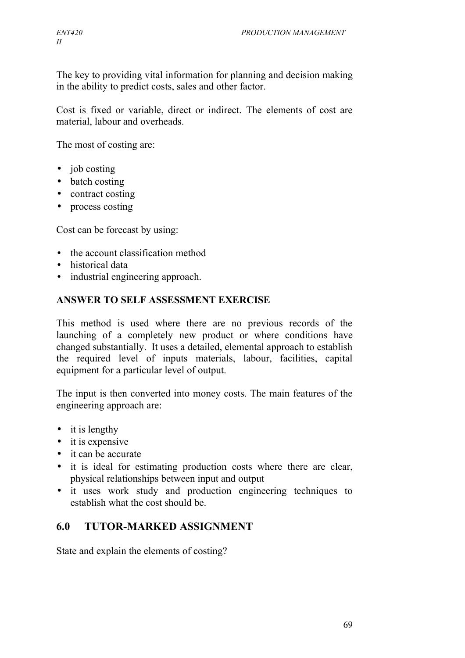The key to providing vital information for planning and decision making in the ability to predict costs, sales and other factor.

Cost is fixed or variable, direct or indirect. The elements of cost are material, labour and overheads.

The most of costing are:

- job costing
- batch costing
- contract costing
- process costing

Cost can be forecast by using:

- the account classification method
- historical data
- industrial engineering approach.

#### **ANSWER TO SELF ASSESSMENT EXERCISE**

This method is used where there are no previous records of the launching of a completely new product or where conditions have changed substantially. It uses a detailed, elemental approach to establish the required level of inputs materials, labour, facilities, capital equipment for a particular level of output.

The input is then converted into money costs. The main features of the engineering approach are:

- $\bullet$  it is lengthy
- it is expensive
- it can be accurate
- it is ideal for estimating production costs where there are clear, physical relationships between input and output
- it uses work study and production engineering techniques to establish what the cost should be.

## **6.0 TUTOR-MARKED ASSIGNMENT**

State and explain the elements of costing?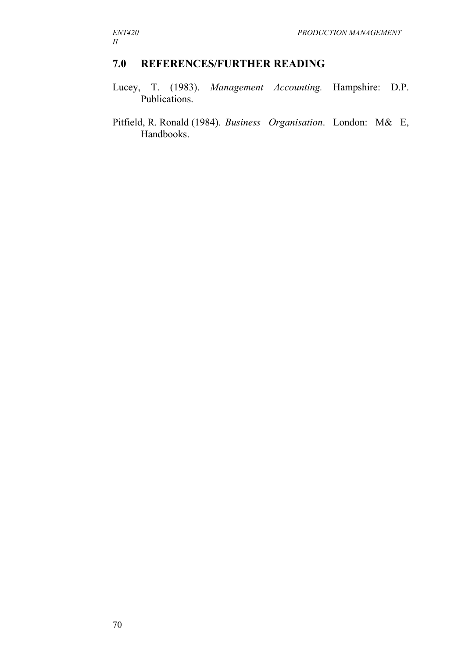## **7.0 REFERENCES/FURTHER READING**

- Lucey, T. (1983). *Management Accounting.* Hampshire: D.P. Publications.
- Pitfield, R. Ronald (1984). *Business Organisation*. London: M& E, Handbooks.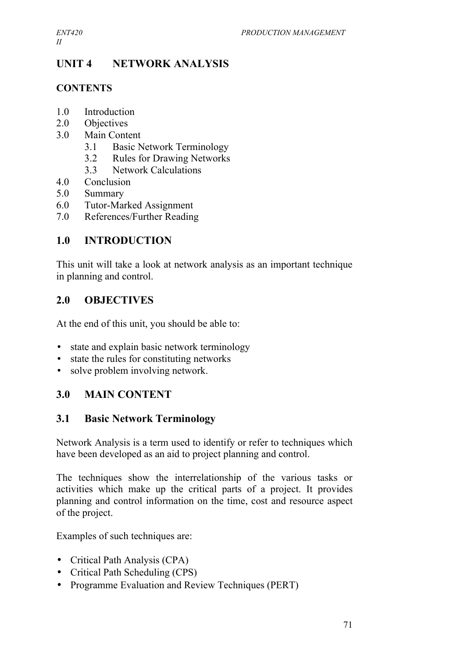# **UNIT 4 NETWORK ANALYSIS**

## **CONTENTS**

- 1.0 Introduction
- 2.0 Objectives
- 3.0 Main Content
	- 3.1 Basic Network Terminology
	- 3.2 Rules for Drawing Networks
	- 3.3 Network Calculations
- 4.0 Conclusion
- 5.0 Summary
- 6.0 Tutor-Marked Assignment
- 7.0 References/Further Reading

## **1.0 INTRODUCTION**

This unit will take a look at network analysis as an important technique in planning and control.

## **2.0 OBJECTIVES**

At the end of this unit, you should be able to:

- state and explain basic network terminology
- state the rules for constituting networks
- solve problem involving network.

## **3.0 MAIN CONTENT**

## **3.1 Basic Network Terminology**

Network Analysis is a term used to identify or refer to techniques which have been developed as an aid to project planning and control.

The techniques show the interrelationship of the various tasks or activities which make up the critical parts of a project. It provides planning and control information on the time, cost and resource aspect of the project.

Examples of such techniques are:

- Critical Path Analysis (CPA)
- Critical Path Scheduling (CPS)
- Programme Evaluation and Review Techniques (PERT)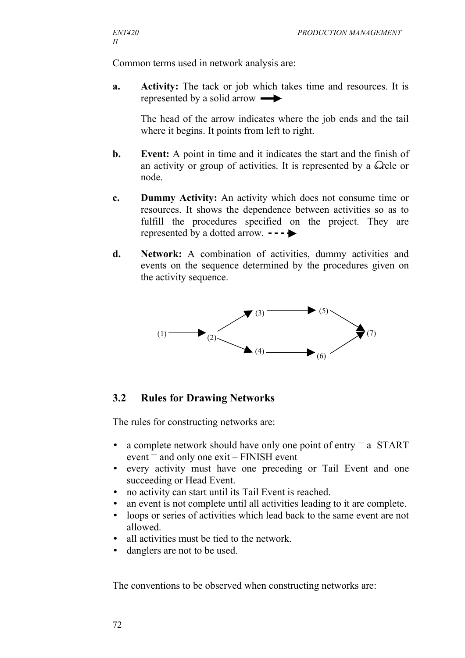Common terms used in network analysis are:

**a. Activity:** The tack or job which takes time and resources. It is represented by a solid arrow

The head of the arrow indicates where the job ends and the tail where it begins. It points from left to right.

- **b. Event:** A point in time and it indicates the start and the finish of an activity or group of activities. It is represented by a  $\Omega$ cle or node.
- **c. Dummy Activity:** An activity which does not consume time or resources. It shows the dependence between activities so as to fulfill the procedures specified on the project. They are represented by a dotted arrow.  $\bullet \bullet \bullet$
- **d. Network:** A combination of activities, dummy activities and events on the sequence determined by the procedures given on the activity sequence.



## **3.2 Rules for Drawing Networks**

The rules for constructing networks are:

- a complete network should have only one point of entry  $-a$  START event  $-$  and only one exit – FINISH event
- every activity must have one preceding or Tail Event and one succeeding or Head Event.
- no activity can start until its Tail Event is reached.
- an event is not complete until all activities leading to it are complete.
- loops or series of activities which lead back to the same event are not allowed.
- all activities must be tied to the network.
- danglers are not to be used.

The conventions to be observed when constructing networks are: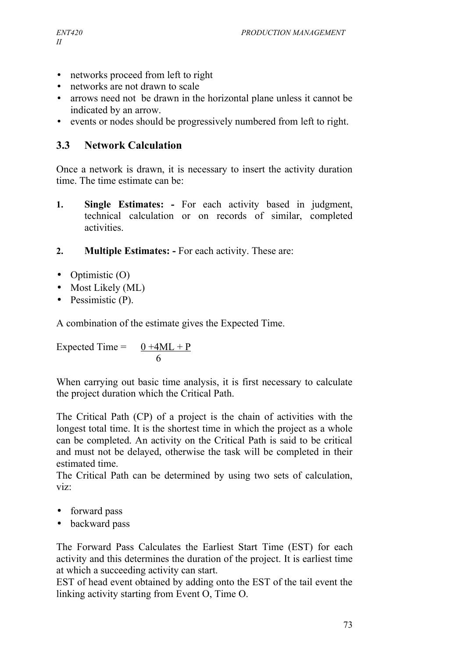- networks proceed from left to right
- networks are not drawn to scale
- arrows need not be drawn in the horizontal plane unless it cannot be indicated by an arrow.
- events or nodes should be progressively numbered from left to right.

## **3.3 Network Calculation**

Once a network is drawn, it is necessary to insert the activity duration time. The time estimate can be:

- **1. Single Estimates: -** For each activity based in judgment, technical calculation or on records of similar, completed activities.
- **2. Multiple Estimates: -** For each activity. These are:
- Optimistic (O)
- Most Likely (ML)
- Pessimistic (P).

A combination of the estimate gives the Expected Time.

Expected Time =  $0 +4ML + P$ 6

When carrying out basic time analysis, it is first necessary to calculate the project duration which the Critical Path.

The Critical Path (CP) of a project is the chain of activities with the longest total time. It is the shortest time in which the project as a whole can be completed. An activity on the Critical Path is said to be critical and must not be delayed, otherwise the task will be completed in their estimated time.

The Critical Path can be determined by using two sets of calculation, viz:

- forward pass
- backward pass

The Forward Pass Calculates the Earliest Start Time (EST) for each activity and this determines the duration of the project. It is earliest time at which a succeeding activity can start.

EST of head event obtained by adding onto the EST of the tail event the linking activity starting from Event O, Time O.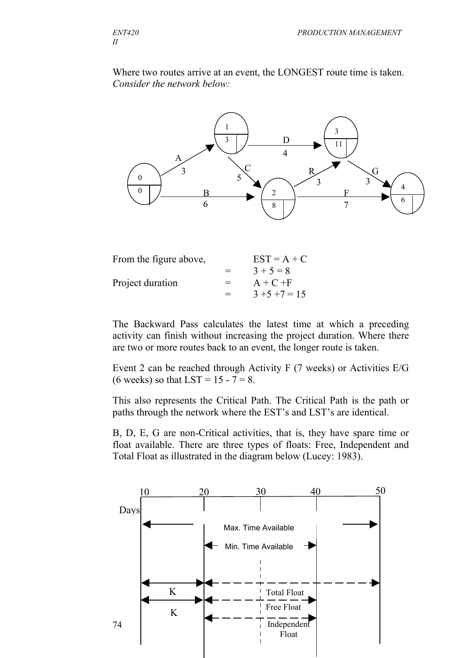Where two routes arrive at an event, the LONGEST route time is taken. *Consider the network below:*



| From the figure above, |     | $EST = A + C$    |
|------------------------|-----|------------------|
|                        | $=$ | $3 + 5 = 8$      |
| Project duration       | $=$ | $A + C + F$      |
|                        | $=$ | $3 + 5 + 7 = 15$ |

The Backward Pass calculates the latest time at which a preceding activity can finish without increasing the project duration. Where there are two or more routes back to an event, the longer route is taken.

Event 2 can be reached through Activity F (7 weeks) or Activities E/G (6 weeks) so that LST =  $15 - 7 = 8$ .

This also represents the Critical Path. The Critical Path is the path or paths through the network where the EST's and LST's are identical.

B, D, E, G are non-Critical activities, that is, they have spare time or float available. There are three types of floats: Free, Independent and Total Float as illustrated in the diagram below (Lucey: 1983).

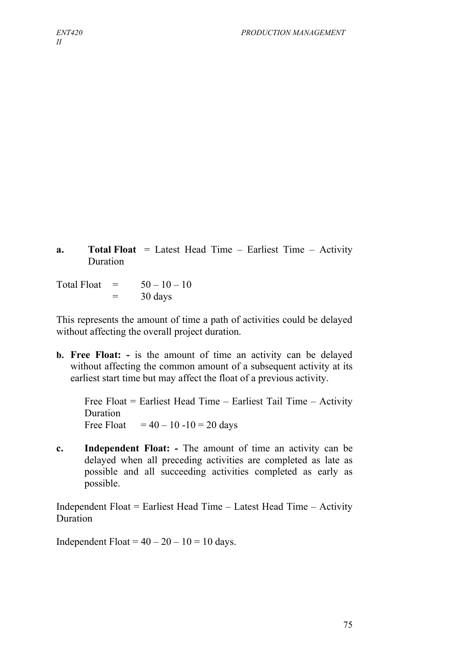**a. Total Float** = Latest Head Time – Earliest Time – Activity Duration

Total Float  $=$   $50-10-10$  $=$  30 days

This represents the amount of time a path of activities could be delayed without affecting the overall project duration.

**b. Free Float: -** is the amount of time an activity can be delayed without affecting the common amount of a subsequent activity at its earliest start time but may affect the float of a previous activity.

Free Float = Earliest Head Time – Earliest Tail Time – Activity Duration Free Float  $= 40 - 10 - 10 = 20$  days

**c. Independent Float: -** The amount of time an activity can be delayed when all preceding activities are completed as late as possible and all succeeding activities completed as early as possible.

Independent Float = Earliest Head Time – Latest Head Time – Activity Duration

Independent Float =  $40 - 20 - 10 = 10$  days.